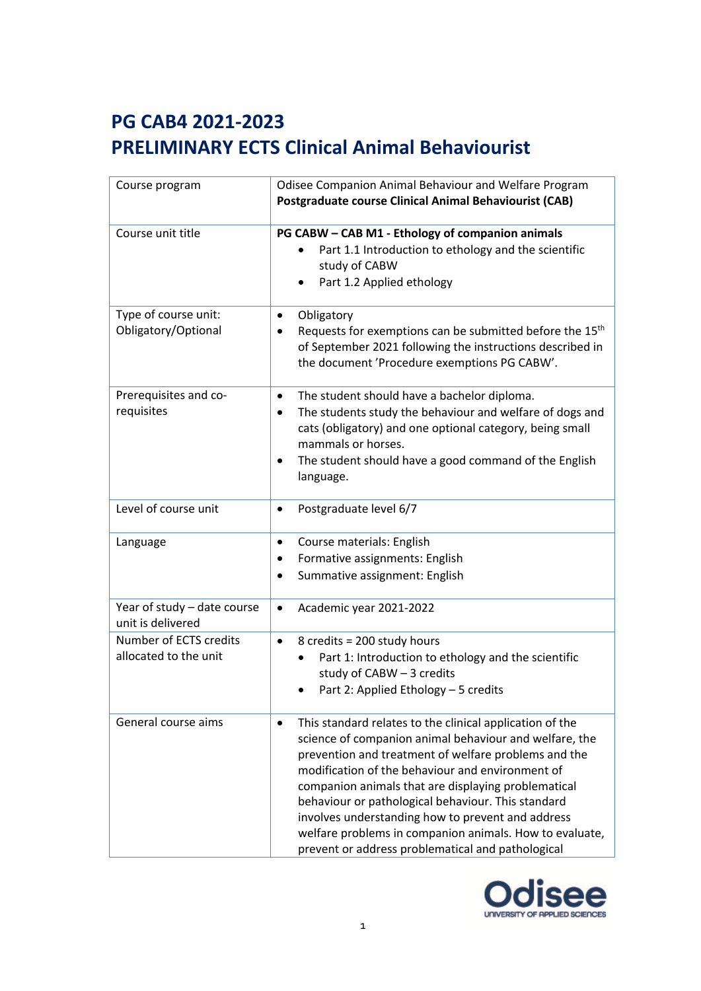| Course program                                   | Odisee Companion Animal Behaviour and Welfare Program<br><b>Postgraduate course Clinical Animal Behaviourist (CAB)</b>                                                                                                                                                                                                                                                                                                                                                                                           |
|--------------------------------------------------|------------------------------------------------------------------------------------------------------------------------------------------------------------------------------------------------------------------------------------------------------------------------------------------------------------------------------------------------------------------------------------------------------------------------------------------------------------------------------------------------------------------|
| Course unit title                                | PG CABW - CAB M1 - Ethology of companion animals<br>Part 1.1 Introduction to ethology and the scientific<br>study of CABW<br>Part 1.2 Applied ethology                                                                                                                                                                                                                                                                                                                                                           |
| Type of course unit:<br>Obligatory/Optional      | Obligatory<br>٠<br>Requests for exemptions can be submitted before the 15 <sup>th</sup><br>of September 2021 following the instructions described in<br>the document 'Procedure exemptions PG CABW'.                                                                                                                                                                                                                                                                                                             |
| Prerequisites and co-<br>requisites              | The student should have a bachelor diploma.<br>$\bullet$<br>The students study the behaviour and welfare of dogs and<br>cats (obligatory) and one optional category, being small<br>mammals or horses.<br>The student should have a good command of the English<br>language.                                                                                                                                                                                                                                     |
| Level of course unit                             | Postgraduate level 6/7                                                                                                                                                                                                                                                                                                                                                                                                                                                                                           |
| Language                                         | Course materials: English<br>٠<br>Formative assignments: English<br>Summative assignment: English                                                                                                                                                                                                                                                                                                                                                                                                                |
| Year of study - date course<br>unit is delivered | Academic year 2021-2022<br>٠                                                                                                                                                                                                                                                                                                                                                                                                                                                                                     |
| Number of ECTS credits<br>allocated to the unit  | 8 credits = 200 study hours<br>$\bullet$<br>Part 1: Introduction to ethology and the scientific<br>study of $CABW - 3$ credits<br>Part 2: Applied Ethology - 5 credits                                                                                                                                                                                                                                                                                                                                           |
| General course aims                              | This standard relates to the clinical application of the<br>science of companion animal behaviour and welfare, the<br>prevention and treatment of welfare problems and the<br>modification of the behaviour and environment of<br>companion animals that are displaying problematical<br>behaviour or pathological behaviour. This standard<br>involves understanding how to prevent and address<br>welfare problems in companion animals. How to evaluate,<br>prevent or address problematical and pathological |

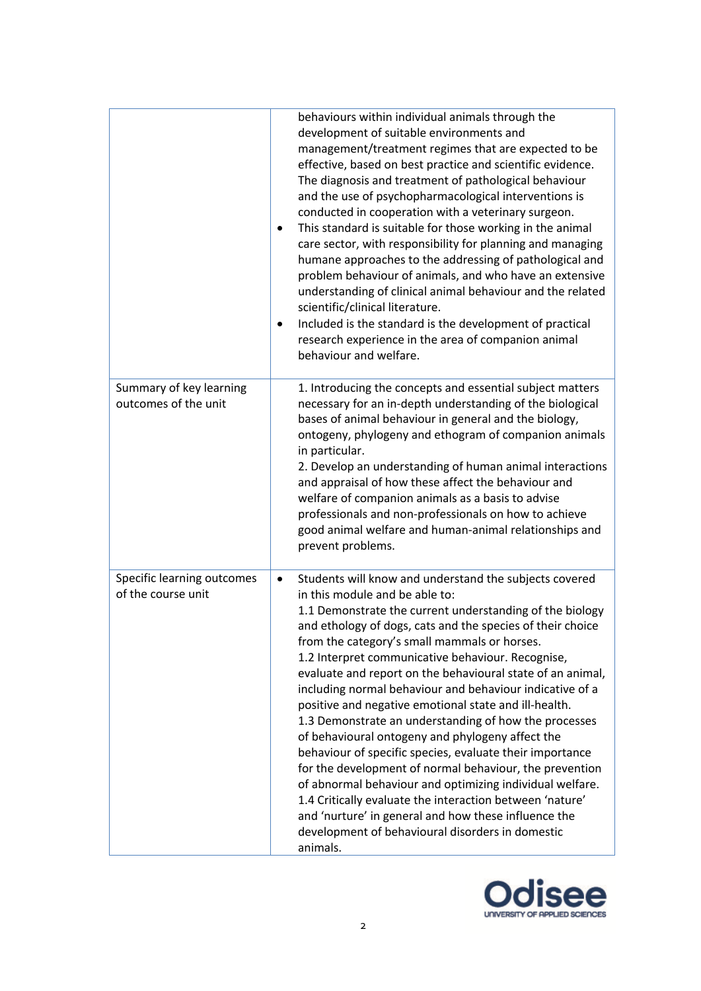|                                                  | behaviours within individual animals through the<br>development of suitable environments and<br>management/treatment regimes that are expected to be<br>effective, based on best practice and scientific evidence.<br>The diagnosis and treatment of pathological behaviour<br>and the use of psychopharmacological interventions is<br>conducted in cooperation with a veterinary surgeon.<br>This standard is suitable for those working in the animal<br>care sector, with responsibility for planning and managing<br>humane approaches to the addressing of pathological and<br>problem behaviour of animals, and who have an extensive<br>understanding of clinical animal behaviour and the related<br>scientific/clinical literature.<br>Included is the standard is the development of practical<br>research experience in the area of companion animal<br>behaviour and welfare.                                                                                                                  |
|--------------------------------------------------|-------------------------------------------------------------------------------------------------------------------------------------------------------------------------------------------------------------------------------------------------------------------------------------------------------------------------------------------------------------------------------------------------------------------------------------------------------------------------------------------------------------------------------------------------------------------------------------------------------------------------------------------------------------------------------------------------------------------------------------------------------------------------------------------------------------------------------------------------------------------------------------------------------------------------------------------------------------------------------------------------------------|
| Summary of key learning<br>outcomes of the unit  | 1. Introducing the concepts and essential subject matters<br>necessary for an in-depth understanding of the biological<br>bases of animal behaviour in general and the biology,<br>ontogeny, phylogeny and ethogram of companion animals<br>in particular.<br>2. Develop an understanding of human animal interactions<br>and appraisal of how these affect the behaviour and<br>welfare of companion animals as a basis to advise<br>professionals and non-professionals on how to achieve<br>good animal welfare and human-animal relationships and<br>prevent problems.                                                                                                                                                                                                                                                                                                                                                                                                                                  |
| Specific learning outcomes<br>of the course unit | Students will know and understand the subjects covered<br>$\bullet$<br>in this module and be able to:<br>1.1 Demonstrate the current understanding of the biology<br>and ethology of dogs, cats and the species of their choice<br>from the category's small mammals or horses.<br>1.2 Interpret communicative behaviour. Recognise,<br>evaluate and report on the behavioural state of an animal,<br>including normal behaviour and behaviour indicative of a<br>positive and negative emotional state and ill-health.<br>1.3 Demonstrate an understanding of how the processes<br>of behavioural ontogeny and phylogeny affect the<br>behaviour of specific species, evaluate their importance<br>for the development of normal behaviour, the prevention<br>of abnormal behaviour and optimizing individual welfare.<br>1.4 Critically evaluate the interaction between 'nature'<br>and 'nurture' in general and how these influence the<br>development of behavioural disorders in domestic<br>animals. |

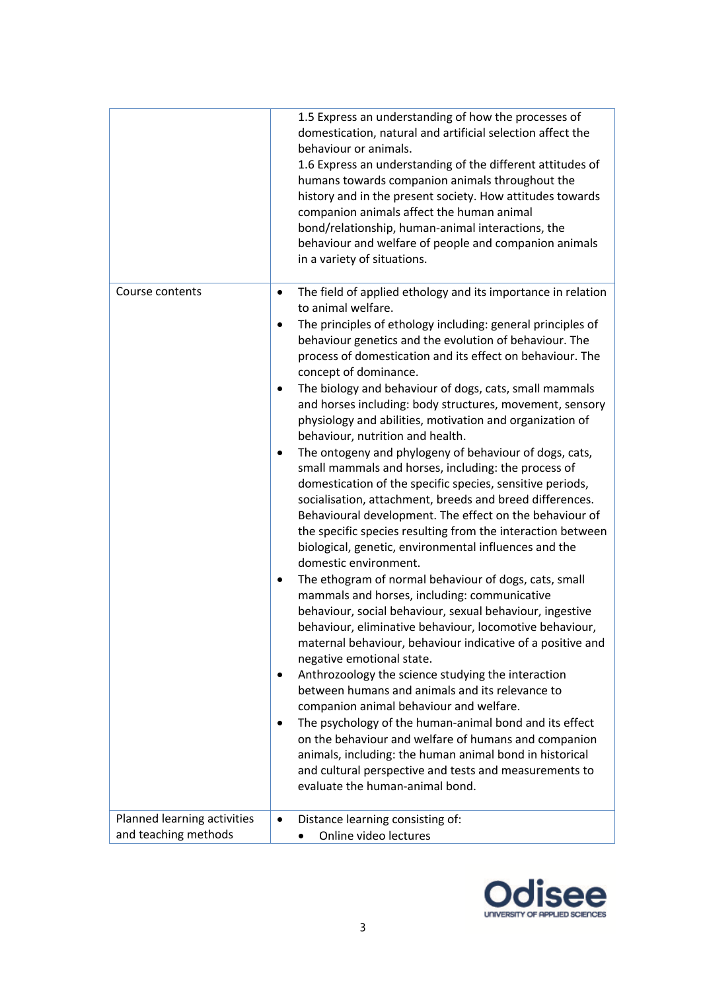|                                                     | 1.5 Express an understanding of how the processes of<br>domestication, natural and artificial selection affect the<br>behaviour or animals.<br>1.6 Express an understanding of the different attitudes of<br>humans towards companion animals throughout the<br>history and in the present society. How attitudes towards<br>companion animals affect the human animal<br>bond/relationship, human-animal interactions, the<br>behaviour and welfare of people and companion animals<br>in a variety of situations.                                                                                                                                                                                                                                                                                                                                                                                                                                                                                                                                                                                                                                                                                                                                                                                                                                                                                                                                                                                                                                                                                                                                                                                                                                        |
|-----------------------------------------------------|------------------------------------------------------------------------------------------------------------------------------------------------------------------------------------------------------------------------------------------------------------------------------------------------------------------------------------------------------------------------------------------------------------------------------------------------------------------------------------------------------------------------------------------------------------------------------------------------------------------------------------------------------------------------------------------------------------------------------------------------------------------------------------------------------------------------------------------------------------------------------------------------------------------------------------------------------------------------------------------------------------------------------------------------------------------------------------------------------------------------------------------------------------------------------------------------------------------------------------------------------------------------------------------------------------------------------------------------------------------------------------------------------------------------------------------------------------------------------------------------------------------------------------------------------------------------------------------------------------------------------------------------------------------------------------------------------------------------------------------------------------|
| Course contents                                     | The field of applied ethology and its importance in relation<br>٠<br>to animal welfare.<br>The principles of ethology including: general principles of<br>٠<br>behaviour genetics and the evolution of behaviour. The<br>process of domestication and its effect on behaviour. The<br>concept of dominance.<br>The biology and behaviour of dogs, cats, small mammals<br>and horses including: body structures, movement, sensory<br>physiology and abilities, motivation and organization of<br>behaviour, nutrition and health.<br>The ontogeny and phylogeny of behaviour of dogs, cats,<br>small mammals and horses, including: the process of<br>domestication of the specific species, sensitive periods,<br>socialisation, attachment, breeds and breed differences.<br>Behavioural development. The effect on the behaviour of<br>the specific species resulting from the interaction between<br>biological, genetic, environmental influences and the<br>domestic environment.<br>The ethogram of normal behaviour of dogs, cats, small<br>mammals and horses, including: communicative<br>behaviour, social behaviour, sexual behaviour, ingestive<br>behaviour, eliminative behaviour, locomotive behaviour,<br>maternal behaviour, behaviour indicative of a positive and<br>negative emotional state.<br>Anthrozoology the science studying the interaction<br>٠<br>between humans and animals and its relevance to<br>companion animal behaviour and welfare.<br>The psychology of the human-animal bond and its effect<br>٠<br>on the behaviour and welfare of humans and companion<br>animals, including: the human animal bond in historical<br>and cultural perspective and tests and measurements to<br>evaluate the human-animal bond. |
| Planned learning activities<br>and teaching methods | Distance learning consisting of:<br>Online video lectures                                                                                                                                                                                                                                                                                                                                                                                                                                                                                                                                                                                                                                                                                                                                                                                                                                                                                                                                                                                                                                                                                                                                                                                                                                                                                                                                                                                                                                                                                                                                                                                                                                                                                                  |

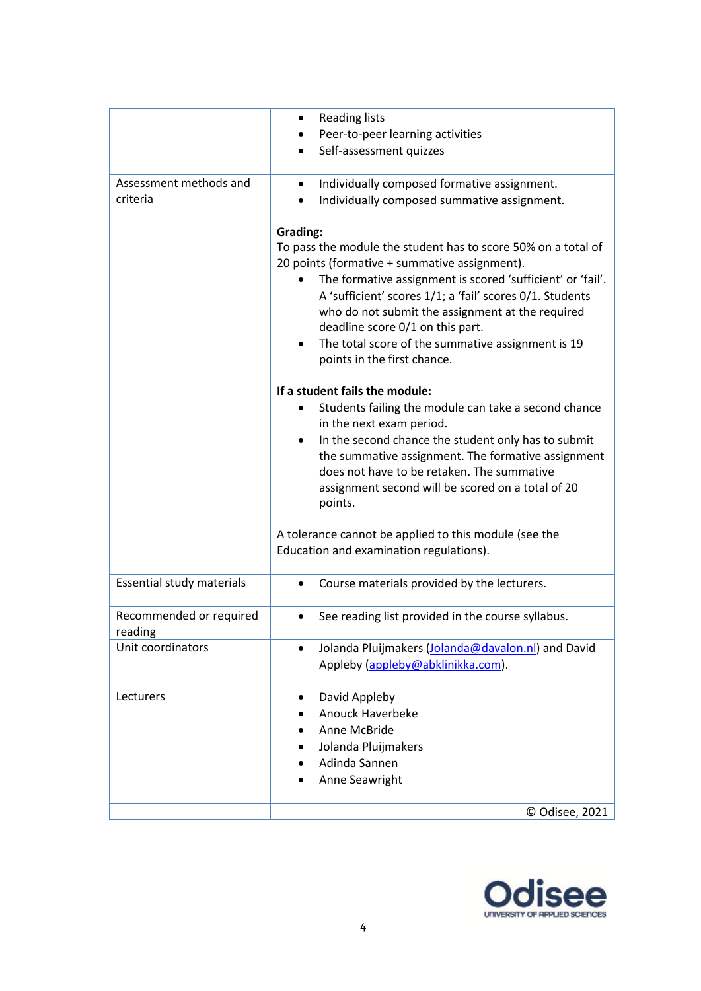|                              | <b>Reading lists</b><br>٠                                       |
|------------------------------|-----------------------------------------------------------------|
|                              | Peer-to-peer learning activities                                |
|                              | Self-assessment quizzes                                         |
| Assessment methods and       | Individually composed formative assignment.<br>$\bullet$        |
| criteria                     | Individually composed summative assignment.<br>٠                |
|                              |                                                                 |
|                              | <b>Grading:</b>                                                 |
|                              | To pass the module the student has to score 50% on a total of   |
|                              | 20 points (formative + summative assignment).                   |
|                              | The formative assignment is scored 'sufficient' or 'fail'.      |
|                              | A 'sufficient' scores 1/1; a 'fail' scores 0/1. Students        |
|                              | who do not submit the assignment at the required                |
|                              | deadline score 0/1 on this part.                                |
|                              | The total score of the summative assignment is 19<br>$\bullet$  |
|                              | points in the first chance.                                     |
|                              |                                                                 |
|                              | If a student fails the module:                                  |
|                              | Students failing the module can take a second chance            |
|                              | in the next exam period.                                        |
|                              | In the second chance the student only has to submit             |
|                              | the summative assignment. The formative assignment              |
|                              | does not have to be retaken. The summative                      |
|                              | assignment second will be scored on a total of 20               |
|                              | points.                                                         |
|                              |                                                                 |
|                              | A tolerance cannot be applied to this module (see the           |
|                              | Education and examination regulations).                         |
|                              |                                                                 |
| Essential study materials    | Course materials provided by the lecturers.<br>٠                |
|                              |                                                                 |
| Recommended or required      | See reading list provided in the course syllabus.<br>$\bullet$  |
| reading<br>Unit coordinators | Jolanda Pluijmakers (Jolanda@davalon.nl) and David<br>$\bullet$ |
|                              | Appleby (appleby@abklinikka.com).                               |
|                              |                                                                 |
| Lecturers                    | David Appleby<br>٠                                              |
|                              | Anouck Haverbeke                                                |
|                              | Anne McBride                                                    |
|                              | Jolanda Pluijmakers                                             |
|                              | Adinda Sannen                                                   |
|                              | Anne Seawright                                                  |
|                              |                                                                 |
|                              | © Odisee, 2021                                                  |

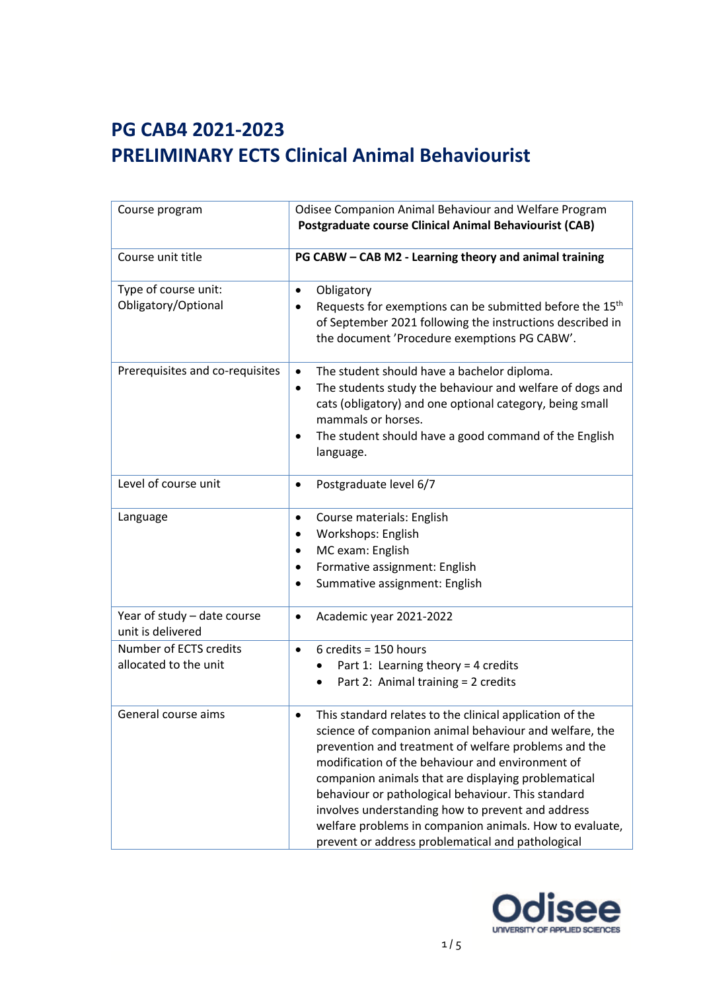| Course program                                   | Odisee Companion Animal Behaviour and Welfare Program<br><b>Postgraduate course Clinical Animal Behaviourist (CAB)</b>                                                                                                                                                                                                                                                                                                                                                                                                |
|--------------------------------------------------|-----------------------------------------------------------------------------------------------------------------------------------------------------------------------------------------------------------------------------------------------------------------------------------------------------------------------------------------------------------------------------------------------------------------------------------------------------------------------------------------------------------------------|
| Course unit title                                | PG CABW - CAB M2 - Learning theory and animal training                                                                                                                                                                                                                                                                                                                                                                                                                                                                |
| Type of course unit:<br>Obligatory/Optional      | Obligatory<br>$\bullet$<br>Requests for exemptions can be submitted before the 15 <sup>th</sup><br>of September 2021 following the instructions described in<br>the document 'Procedure exemptions PG CABW'.                                                                                                                                                                                                                                                                                                          |
| Prerequisites and co-requisites                  | The student should have a bachelor diploma.<br>$\bullet$<br>The students study the behaviour and welfare of dogs and<br>٠<br>cats (obligatory) and one optional category, being small<br>mammals or horses.<br>The student should have a good command of the English<br>٠<br>language.                                                                                                                                                                                                                                |
| Level of course unit                             | Postgraduate level 6/7<br>$\bullet$                                                                                                                                                                                                                                                                                                                                                                                                                                                                                   |
| Language                                         | Course materials: English<br>$\bullet$<br>Workshops: English<br>MC exam: English<br>Formative assignment: English<br>٠<br>Summative assignment: English<br>$\bullet$                                                                                                                                                                                                                                                                                                                                                  |
| Year of study - date course<br>unit is delivered | Academic year 2021-2022<br>$\bullet$                                                                                                                                                                                                                                                                                                                                                                                                                                                                                  |
| Number of ECTS credits<br>allocated to the unit  | $6$ credits = 150 hours<br>$\bullet$<br>Part 1: Learning theory = 4 credits<br>Part 2: Animal training = 2 credits<br>$\bullet$                                                                                                                                                                                                                                                                                                                                                                                       |
| General course aims                              | This standard relates to the clinical application of the<br>٠<br>science of companion animal behaviour and welfare, the<br>prevention and treatment of welfare problems and the<br>modification of the behaviour and environment of<br>companion animals that are displaying problematical<br>behaviour or pathological behaviour. This standard<br>involves understanding how to prevent and address<br>welfare problems in companion animals. How to evaluate,<br>prevent or address problematical and pathological |

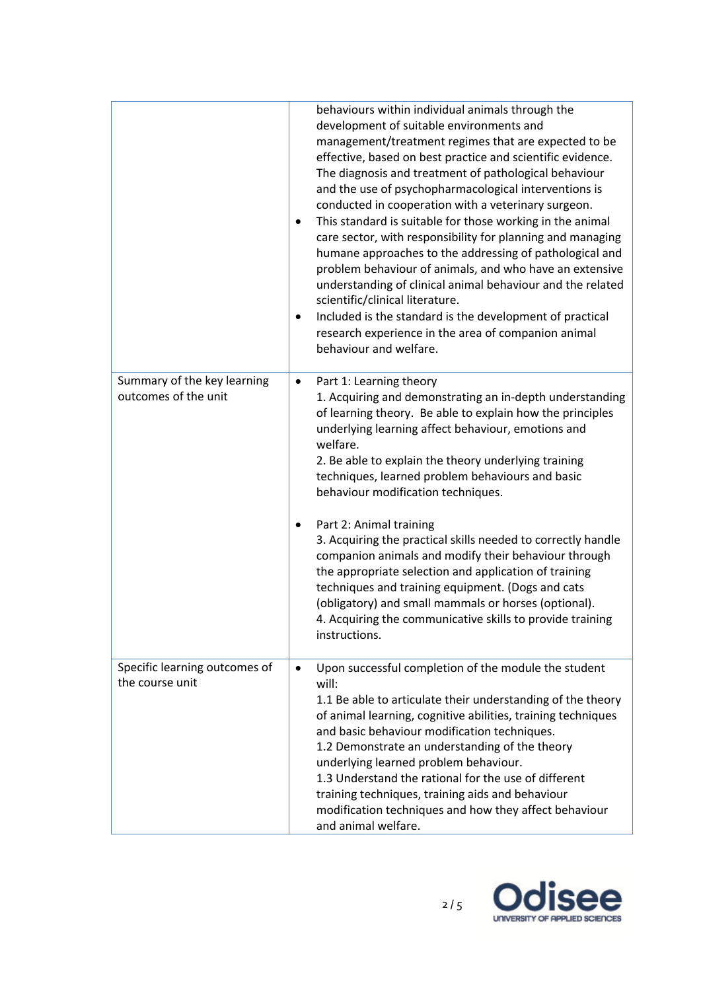|                                                     | behaviours within individual animals through the<br>development of suitable environments and<br>management/treatment regimes that are expected to be<br>effective, based on best practice and scientific evidence.<br>The diagnosis and treatment of pathological behaviour<br>and the use of psychopharmacological interventions is<br>conducted in cooperation with a veterinary surgeon.<br>This standard is suitable for those working in the animal<br>$\bullet$<br>care sector, with responsibility for planning and managing<br>humane approaches to the addressing of pathological and<br>problem behaviour of animals, and who have an extensive<br>understanding of clinical animal behaviour and the related<br>scientific/clinical literature.<br>Included is the standard is the development of practical<br>$\bullet$<br>research experience in the area of companion animal<br>behaviour and welfare. |
|-----------------------------------------------------|----------------------------------------------------------------------------------------------------------------------------------------------------------------------------------------------------------------------------------------------------------------------------------------------------------------------------------------------------------------------------------------------------------------------------------------------------------------------------------------------------------------------------------------------------------------------------------------------------------------------------------------------------------------------------------------------------------------------------------------------------------------------------------------------------------------------------------------------------------------------------------------------------------------------|
| Summary of the key learning<br>outcomes of the unit | Part 1: Learning theory<br>$\bullet$<br>1. Acquiring and demonstrating an in-depth understanding<br>of learning theory. Be able to explain how the principles<br>underlying learning affect behaviour, emotions and<br>welfare.<br>2. Be able to explain the theory underlying training<br>techniques, learned problem behaviours and basic<br>behaviour modification techniques.<br>Part 2: Animal training<br>٠<br>3. Acquiring the practical skills needed to correctly handle<br>companion animals and modify their behaviour through<br>the appropriate selection and application of training<br>techniques and training equipment. (Dogs and cats<br>(obligatory) and small mammals or horses (optional).<br>4. Acquiring the communicative skills to provide training<br>instructions.                                                                                                                        |
| Specific learning outcomes of<br>the course unit    | Upon successful completion of the module the student<br>$\bullet$<br>will:<br>1.1 Be able to articulate their understanding of the theory<br>of animal learning, cognitive abilities, training techniques<br>and basic behaviour modification techniques.<br>1.2 Demonstrate an understanding of the theory<br>underlying learned problem behaviour.<br>1.3 Understand the rational for the use of different<br>training techniques, training aids and behaviour<br>modification techniques and how they affect behaviour<br>and animal welfare.                                                                                                                                                                                                                                                                                                                                                                     |

е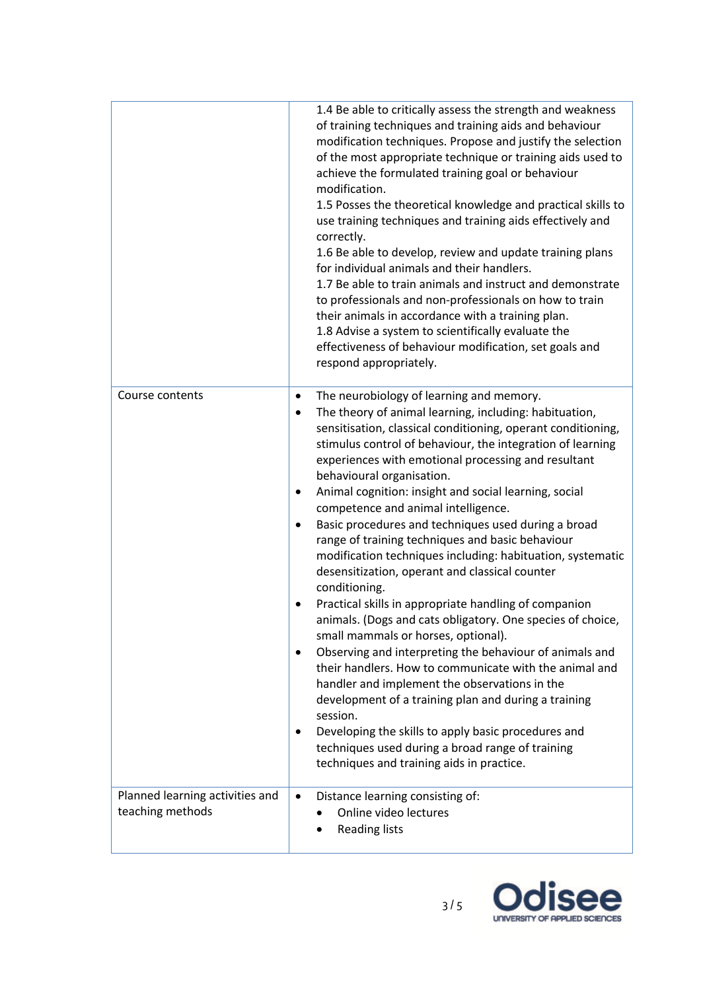|                                                     | 1.4 Be able to critically assess the strength and weakness<br>of training techniques and training aids and behaviour<br>modification techniques. Propose and justify the selection<br>of the most appropriate technique or training aids used to<br>achieve the formulated training goal or behaviour<br>modification.<br>1.5 Posses the theoretical knowledge and practical skills to<br>use training techniques and training aids effectively and<br>correctly.<br>1.6 Be able to develop, review and update training plans<br>for individual animals and their handlers.<br>1.7 Be able to train animals and instruct and demonstrate<br>to professionals and non-professionals on how to train<br>their animals in accordance with a training plan.<br>1.8 Advise a system to scientifically evaluate the<br>effectiveness of behaviour modification, set goals and<br>respond appropriately.                                                                                                                                                                                                                                                                                                                                                                                                   |
|-----------------------------------------------------|-----------------------------------------------------------------------------------------------------------------------------------------------------------------------------------------------------------------------------------------------------------------------------------------------------------------------------------------------------------------------------------------------------------------------------------------------------------------------------------------------------------------------------------------------------------------------------------------------------------------------------------------------------------------------------------------------------------------------------------------------------------------------------------------------------------------------------------------------------------------------------------------------------------------------------------------------------------------------------------------------------------------------------------------------------------------------------------------------------------------------------------------------------------------------------------------------------------------------------------------------------------------------------------------------------|
| Course contents                                     | The neurobiology of learning and memory.<br>$\bullet$<br>The theory of animal learning, including: habituation,<br>$\bullet$<br>sensitisation, classical conditioning, operant conditioning,<br>stimulus control of behaviour, the integration of learning<br>experiences with emotional processing and resultant<br>behavioural organisation.<br>Animal cognition: insight and social learning, social<br>٠<br>competence and animal intelligence.<br>Basic procedures and techniques used during a broad<br>٠<br>range of training techniques and basic behaviour<br>modification techniques including: habituation, systematic<br>desensitization, operant and classical counter<br>conditioning.<br>Practical skills in appropriate handling of companion<br>٠<br>animals. (Dogs and cats obligatory. One species of choice,<br>small mammals or horses, optional).<br>Observing and interpreting the behaviour of animals and<br>$\bullet$<br>their handlers. How to communicate with the animal and<br>handler and implement the observations in the<br>development of a training plan and during a training<br>session.<br>Developing the skills to apply basic procedures and<br>$\bullet$<br>techniques used during a broad range of training<br>techniques and training aids in practice. |
| Planned learning activities and<br>teaching methods | Distance learning consisting of:<br>$\bullet$<br>Online video lectures<br><b>Reading lists</b>                                                                                                                                                                                                                                                                                                                                                                                                                                                                                                                                                                                                                                                                                                                                                                                                                                                                                                                                                                                                                                                                                                                                                                                                      |

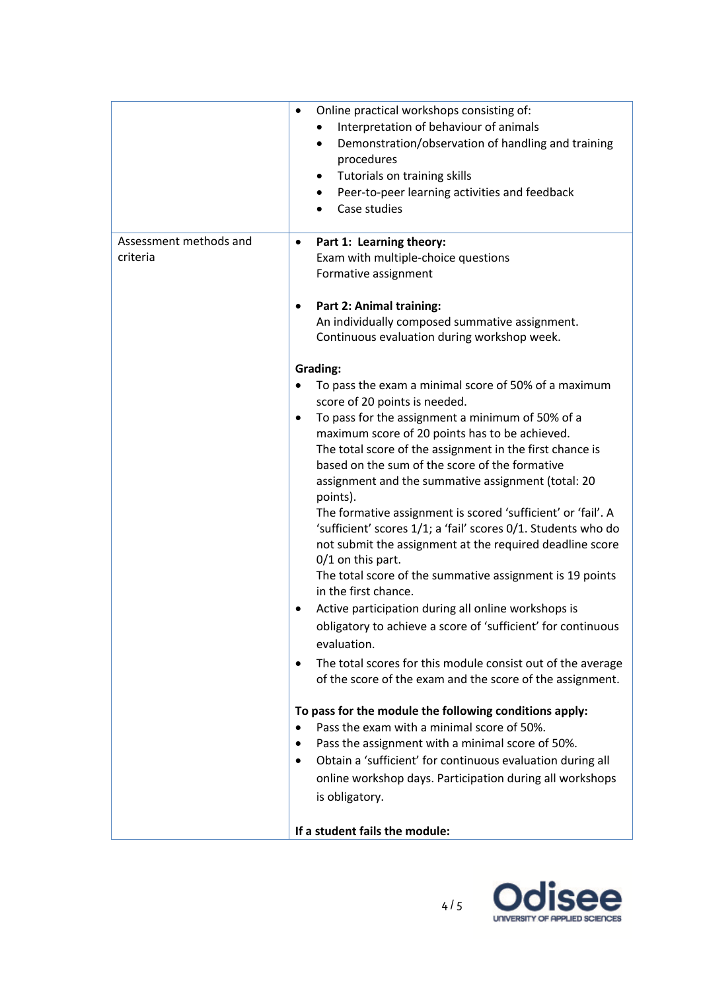| Assessment methods and | Online practical workshops consisting of:<br>Interpretation of behaviour of animals<br>Demonstration/observation of handling and training<br>$\bullet$<br>procedures<br>Tutorials on training skills<br>٠<br>Peer-to-peer learning activities and feedback<br>٠<br>Case studies<br>$\bullet$<br>Part 1: Learning theory:<br>٠                                                                                                                                                                                                                                                                                                                                                                                                                                                                                                                                                                                                                                                                                                                                                                                                                                                                                                                                                                                                                   |
|------------------------|-------------------------------------------------------------------------------------------------------------------------------------------------------------------------------------------------------------------------------------------------------------------------------------------------------------------------------------------------------------------------------------------------------------------------------------------------------------------------------------------------------------------------------------------------------------------------------------------------------------------------------------------------------------------------------------------------------------------------------------------------------------------------------------------------------------------------------------------------------------------------------------------------------------------------------------------------------------------------------------------------------------------------------------------------------------------------------------------------------------------------------------------------------------------------------------------------------------------------------------------------------------------------------------------------------------------------------------------------|
| criteria               | Exam with multiple-choice questions<br>Formative assignment<br>Part 2: Animal training:                                                                                                                                                                                                                                                                                                                                                                                                                                                                                                                                                                                                                                                                                                                                                                                                                                                                                                                                                                                                                                                                                                                                                                                                                                                         |
|                        | An individually composed summative assignment.<br>Continuous evaluation during workshop week.                                                                                                                                                                                                                                                                                                                                                                                                                                                                                                                                                                                                                                                                                                                                                                                                                                                                                                                                                                                                                                                                                                                                                                                                                                                   |
|                        | <b>Grading:</b><br>To pass the exam a minimal score of 50% of a maximum<br>score of 20 points is needed.<br>To pass for the assignment a minimum of 50% of a<br>$\bullet$<br>maximum score of 20 points has to be achieved.<br>The total score of the assignment in the first chance is<br>based on the sum of the score of the formative<br>assignment and the summative assignment (total: 20<br>points).<br>The formative assignment is scored 'sufficient' or 'fail'. A<br>'sufficient' scores 1/1; a 'fail' scores 0/1. Students who do<br>not submit the assignment at the required deadline score<br>0/1 on this part.<br>The total score of the summative assignment is 19 points<br>in the first chance.<br>Active participation during all online workshops is<br>obligatory to achieve a score of 'sufficient' for continuous<br>evaluation.<br>The total scores for this module consist out of the average<br>of the score of the exam and the score of the assignment.<br>To pass for the module the following conditions apply:<br>Pass the exam with a minimal score of 50%.<br>Pass the assignment with a minimal score of 50%.<br>٠<br>Obtain a 'sufficient' for continuous evaluation during all<br>$\bullet$<br>online workshop days. Participation during all workshops<br>is obligatory.<br>If a student fails the module: |

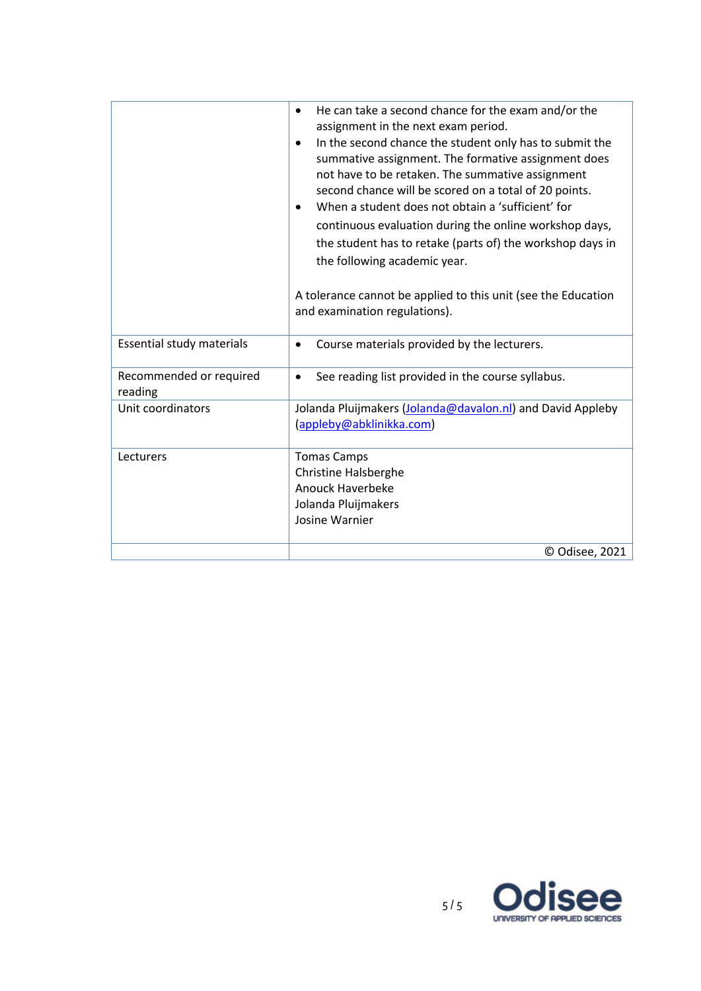|                                    | He can take a second chance for the exam and/or the<br>$\bullet$<br>assignment in the next exam period.<br>In the second chance the student only has to submit the<br>$\bullet$<br>summative assignment. The formative assignment does<br>not have to be retaken. The summative assignment<br>second chance will be scored on a total of 20 points.<br>When a student does not obtain a 'sufficient' for<br>$\bullet$<br>continuous evaluation during the online workshop days,<br>the student has to retake (parts of) the workshop days in<br>the following academic year.<br>A tolerance cannot be applied to this unit (see the Education<br>and examination regulations). |
|------------------------------------|--------------------------------------------------------------------------------------------------------------------------------------------------------------------------------------------------------------------------------------------------------------------------------------------------------------------------------------------------------------------------------------------------------------------------------------------------------------------------------------------------------------------------------------------------------------------------------------------------------------------------------------------------------------------------------|
| Essential study materials          | Course materials provided by the lecturers.<br>$\bullet$                                                                                                                                                                                                                                                                                                                                                                                                                                                                                                                                                                                                                       |
| Recommended or required<br>reading | See reading list provided in the course syllabus.<br>$\bullet$                                                                                                                                                                                                                                                                                                                                                                                                                                                                                                                                                                                                                 |
| Unit coordinators                  | Jolanda Pluijmakers (Jolanda@davalon.nl) and David Appleby<br>(appleby@abklinikka.com)                                                                                                                                                                                                                                                                                                                                                                                                                                                                                                                                                                                         |
| Lecturers                          | <b>Tomas Camps</b><br><b>Christine Halsberghe</b><br><b>Anouck Haverbeke</b><br>Jolanda Pluijmakers<br>Josine Warnier                                                                                                                                                                                                                                                                                                                                                                                                                                                                                                                                                          |
|                                    | © Odisee, 2021                                                                                                                                                                                                                                                                                                                                                                                                                                                                                                                                                                                                                                                                 |

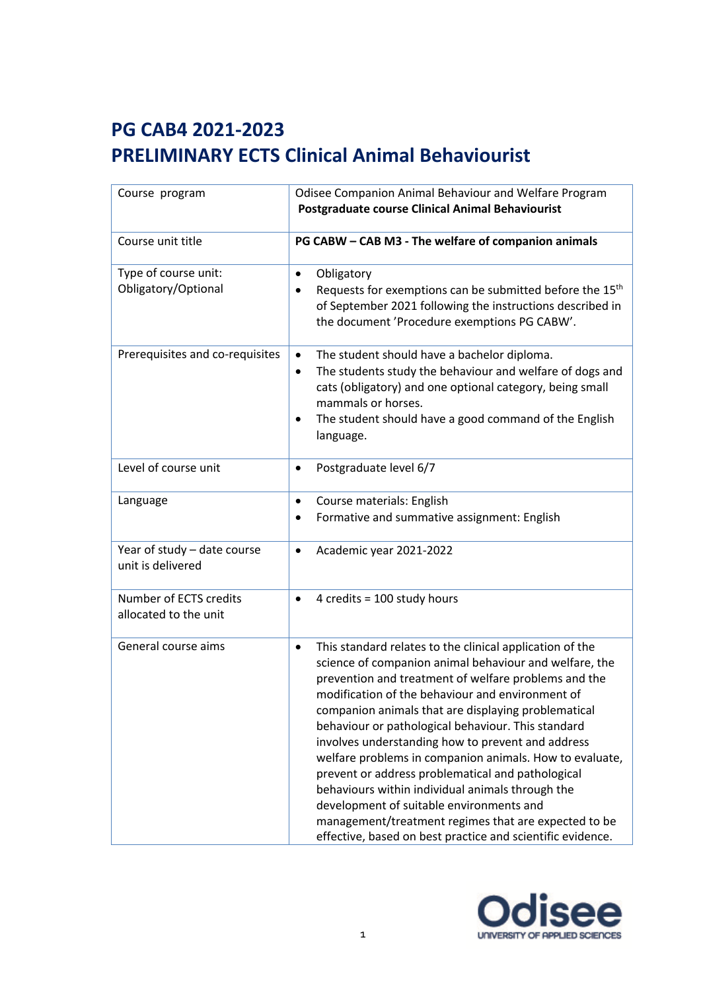| Course program                                   | Odisee Companion Animal Behaviour and Welfare Program<br><b>Postgraduate course Clinical Animal Behaviourist</b>                                                                                                                                                                                                                                                                                                                                                                                                                                                                                                                                                                                                                                    |
|--------------------------------------------------|-----------------------------------------------------------------------------------------------------------------------------------------------------------------------------------------------------------------------------------------------------------------------------------------------------------------------------------------------------------------------------------------------------------------------------------------------------------------------------------------------------------------------------------------------------------------------------------------------------------------------------------------------------------------------------------------------------------------------------------------------------|
| Course unit title                                | PG CABW - CAB M3 - The welfare of companion animals                                                                                                                                                                                                                                                                                                                                                                                                                                                                                                                                                                                                                                                                                                 |
| Type of course unit:<br>Obligatory/Optional      | Obligatory<br>$\bullet$<br>Requests for exemptions can be submitted before the 15 <sup>th</sup><br>$\bullet$<br>of September 2021 following the instructions described in<br>the document 'Procedure exemptions PG CABW'.                                                                                                                                                                                                                                                                                                                                                                                                                                                                                                                           |
| Prerequisites and co-requisites                  | The student should have a bachelor diploma.<br>$\bullet$<br>The students study the behaviour and welfare of dogs and<br>$\bullet$<br>cats (obligatory) and one optional category, being small<br>mammals or horses.<br>The student should have a good command of the English<br>$\bullet$<br>language.                                                                                                                                                                                                                                                                                                                                                                                                                                              |
| Level of course unit                             | Postgraduate level 6/7<br>$\bullet$                                                                                                                                                                                                                                                                                                                                                                                                                                                                                                                                                                                                                                                                                                                 |
| Language                                         | Course materials: English<br>٠<br>Formative and summative assignment: English<br>$\bullet$                                                                                                                                                                                                                                                                                                                                                                                                                                                                                                                                                                                                                                                          |
| Year of study - date course<br>unit is delivered | Academic year 2021-2022<br>$\bullet$                                                                                                                                                                                                                                                                                                                                                                                                                                                                                                                                                                                                                                                                                                                |
| Number of ECTS credits<br>allocated to the unit  | 4 credits = 100 study hours<br>$\bullet$                                                                                                                                                                                                                                                                                                                                                                                                                                                                                                                                                                                                                                                                                                            |
| General course aims                              | This standard relates to the clinical application of the<br>$\bullet$<br>science of companion animal behaviour and welfare, the<br>prevention and treatment of welfare problems and the<br>modification of the behaviour and environment of<br>companion animals that are displaying problematical<br>behaviour or pathological behaviour. This standard<br>involves understanding how to prevent and address<br>welfare problems in companion animals. How to evaluate,<br>prevent or address problematical and pathological<br>behaviours within individual animals through the<br>development of suitable environments and<br>management/treatment regimes that are expected to be<br>effective, based on best practice and scientific evidence. |

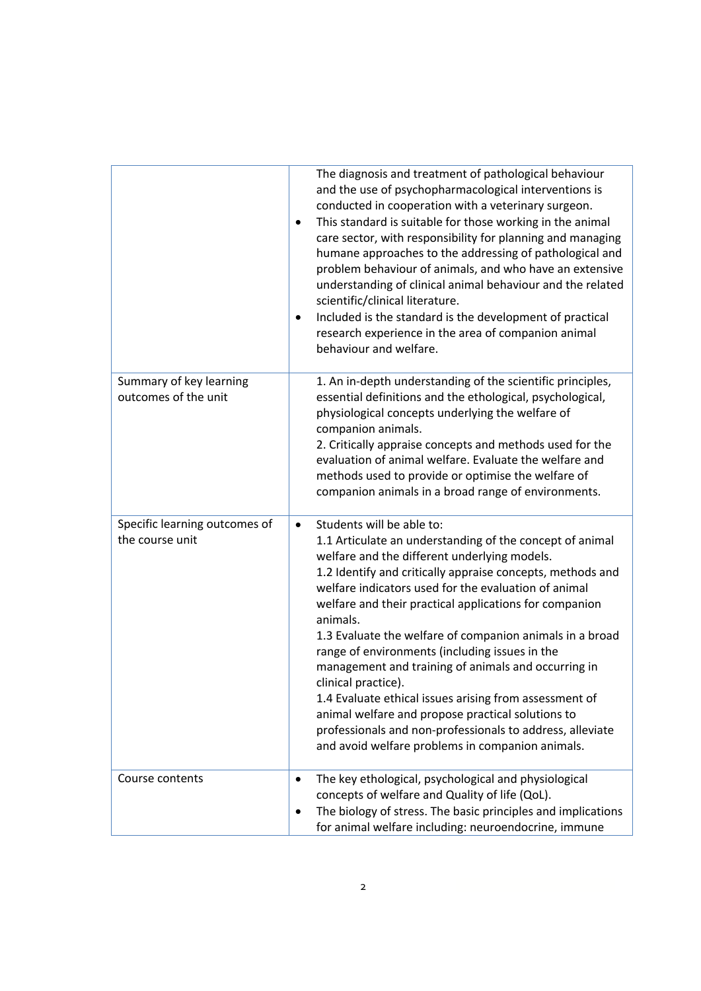|                                                  | The diagnosis and treatment of pathological behaviour<br>and the use of psychopharmacological interventions is<br>conducted in cooperation with a veterinary surgeon.<br>This standard is suitable for those working in the animal<br>٠<br>care sector, with responsibility for planning and managing<br>humane approaches to the addressing of pathological and<br>problem behaviour of animals, and who have an extensive<br>understanding of clinical animal behaviour and the related<br>scientific/clinical literature.<br>Included is the standard is the development of practical<br>$\bullet$<br>research experience in the area of companion animal<br>behaviour and welfare.                                                                                     |
|--------------------------------------------------|----------------------------------------------------------------------------------------------------------------------------------------------------------------------------------------------------------------------------------------------------------------------------------------------------------------------------------------------------------------------------------------------------------------------------------------------------------------------------------------------------------------------------------------------------------------------------------------------------------------------------------------------------------------------------------------------------------------------------------------------------------------------------|
| Summary of key learning<br>outcomes of the unit  | 1. An in-depth understanding of the scientific principles,<br>essential definitions and the ethological, psychological,<br>physiological concepts underlying the welfare of<br>companion animals.<br>2. Critically appraise concepts and methods used for the<br>evaluation of animal welfare. Evaluate the welfare and<br>methods used to provide or optimise the welfare of<br>companion animals in a broad range of environments.                                                                                                                                                                                                                                                                                                                                       |
| Specific learning outcomes of<br>the course unit | Students will be able to:<br>$\bullet$<br>1.1 Articulate an understanding of the concept of animal<br>welfare and the different underlying models.<br>1.2 Identify and critically appraise concepts, methods and<br>welfare indicators used for the evaluation of animal<br>welfare and their practical applications for companion<br>animals.<br>1.3 Evaluate the welfare of companion animals in a broad<br>range of environments (including issues in the<br>management and training of animals and occurring in<br>clinical practice).<br>1.4 Evaluate ethical issues arising from assessment of<br>animal welfare and propose practical solutions to<br>professionals and non-professionals to address, alleviate<br>and avoid welfare problems in companion animals. |
| Course contents                                  | The key ethological, psychological and physiological<br>concepts of welfare and Quality of life (QoL).<br>The biology of stress. The basic principles and implications<br>٠<br>for animal welfare including: neuroendocrine, immune                                                                                                                                                                                                                                                                                                                                                                                                                                                                                                                                        |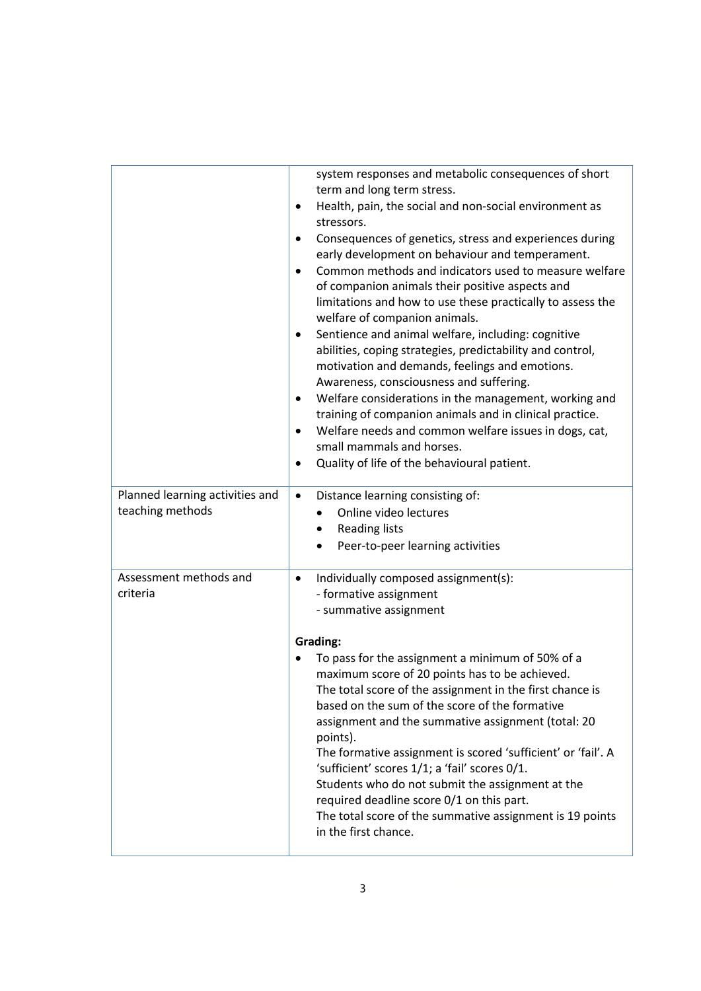|                                                     | system responses and metabolic consequences of short<br>term and long term stress.<br>Health, pain, the social and non-social environment as<br>$\bullet$<br>stressors.<br>Consequences of genetics, stress and experiences during<br>early development on behaviour and temperament.<br>Common methods and indicators used to measure welfare<br>$\bullet$<br>of companion animals their positive aspects and<br>limitations and how to use these practically to assess the<br>welfare of companion animals.<br>Sentience and animal welfare, including: cognitive<br>٠<br>abilities, coping strategies, predictability and control,<br>motivation and demands, feelings and emotions.<br>Awareness, consciousness and suffering.<br>Welfare considerations in the management, working and<br>٠<br>training of companion animals and in clinical practice.<br>Welfare needs and common welfare issues in dogs, cat,<br>$\bullet$<br>small mammals and horses.<br>Quality of life of the behavioural patient. |
|-----------------------------------------------------|---------------------------------------------------------------------------------------------------------------------------------------------------------------------------------------------------------------------------------------------------------------------------------------------------------------------------------------------------------------------------------------------------------------------------------------------------------------------------------------------------------------------------------------------------------------------------------------------------------------------------------------------------------------------------------------------------------------------------------------------------------------------------------------------------------------------------------------------------------------------------------------------------------------------------------------------------------------------------------------------------------------|
| Planned learning activities and<br>teaching methods | Distance learning consisting of:<br>$\bullet$<br>Online video lectures<br><b>Reading lists</b><br>$\bullet$<br>Peer-to-peer learning activities                                                                                                                                                                                                                                                                                                                                                                                                                                                                                                                                                                                                                                                                                                                                                                                                                                                               |
| Assessment methods and<br>criteria                  | Individually composed assignment(s):<br>$\bullet$<br>- formative assignment<br>- summative assignment<br>Grading:<br>To pass for the assignment a minimum of 50% of a<br>maximum score of 20 points has to be achieved.<br>The total score of the assignment in the first chance is<br>based on the sum of the score of the formative<br>assignment and the summative assignment (total: 20<br>points).<br>The formative assignment is scored 'sufficient' or 'fail'. A<br>'sufficient' scores 1/1; a 'fail' scores 0/1.<br>Students who do not submit the assignment at the<br>required deadline score 0/1 on this part.<br>The total score of the summative assignment is 19 points<br>in the first chance.                                                                                                                                                                                                                                                                                                 |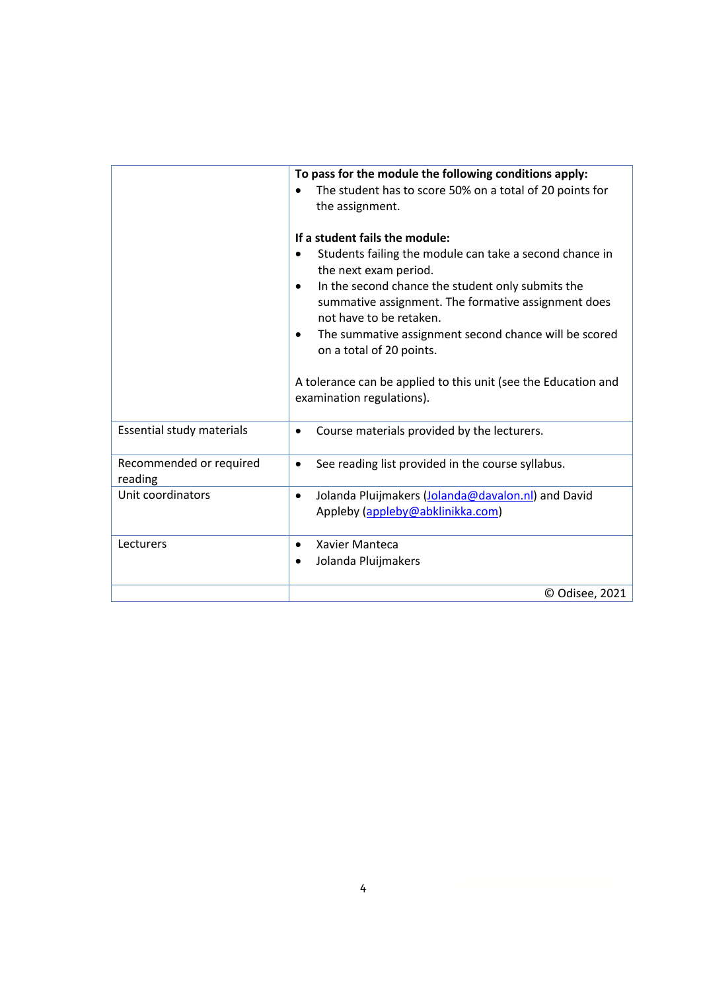|                                    | To pass for the module the following conditions apply:<br>The student has to score 50% on a total of 20 points for<br>$\bullet$<br>the assignment.<br>If a student fails the module:<br>Students failing the module can take a second chance in<br>the next exam period.<br>In the second chance the student only submits the<br>$\bullet$<br>summative assignment. The formative assignment does<br>not have to be retaken.<br>The summative assignment second chance will be scored<br>$\bullet$<br>on a total of 20 points.<br>A tolerance can be applied to this unit (see the Education and<br>examination regulations). |
|------------------------------------|-------------------------------------------------------------------------------------------------------------------------------------------------------------------------------------------------------------------------------------------------------------------------------------------------------------------------------------------------------------------------------------------------------------------------------------------------------------------------------------------------------------------------------------------------------------------------------------------------------------------------------|
| Essential study materials          | Course materials provided by the lecturers.<br>$\bullet$                                                                                                                                                                                                                                                                                                                                                                                                                                                                                                                                                                      |
| Recommended or required<br>reading | See reading list provided in the course syllabus.<br>$\bullet$                                                                                                                                                                                                                                                                                                                                                                                                                                                                                                                                                                |
| Unit coordinators                  | Jolanda Pluijmakers (Jolanda@davalon.nl) and David<br>$\bullet$<br>Appleby (appleby@abklinikka.com)                                                                                                                                                                                                                                                                                                                                                                                                                                                                                                                           |
| Lecturers                          | Xavier Manteca<br>$\bullet$<br>Jolanda Pluijmakers                                                                                                                                                                                                                                                                                                                                                                                                                                                                                                                                                                            |
|                                    | © Odisee, 2021                                                                                                                                                                                                                                                                                                                                                                                                                                                                                                                                                                                                                |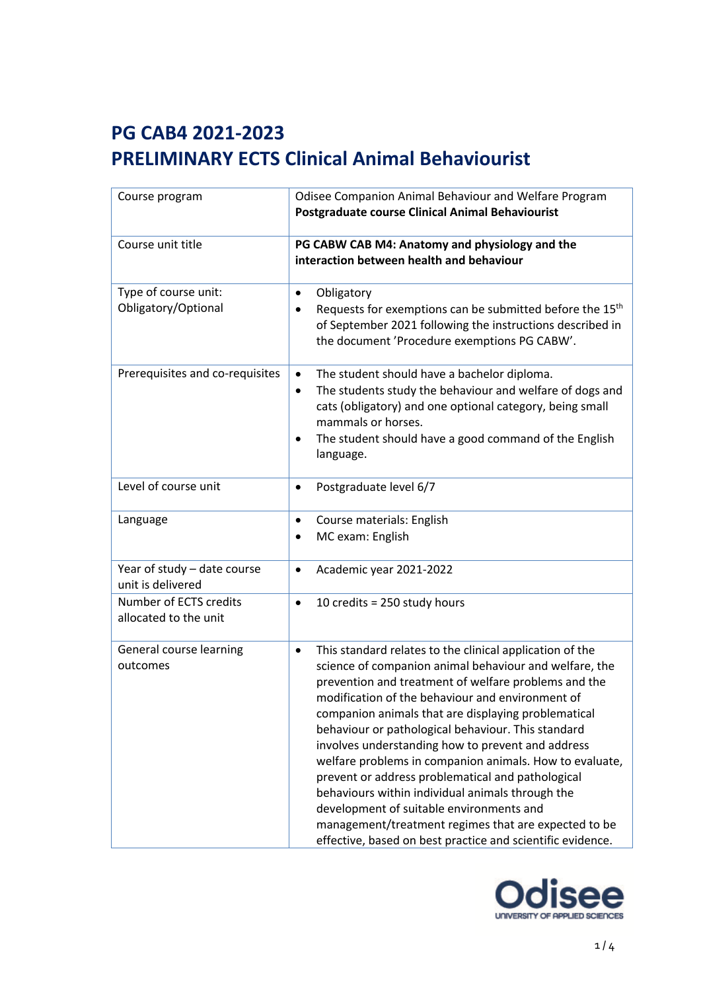| Course program                                   | Odisee Companion Animal Behaviour and Welfare Program<br><b>Postgraduate course Clinical Animal Behaviourist</b>                                                                                                                                                                                                                                                                                                                                                                                                                                                                                                                                                                                                                                    |
|--------------------------------------------------|-----------------------------------------------------------------------------------------------------------------------------------------------------------------------------------------------------------------------------------------------------------------------------------------------------------------------------------------------------------------------------------------------------------------------------------------------------------------------------------------------------------------------------------------------------------------------------------------------------------------------------------------------------------------------------------------------------------------------------------------------------|
| Course unit title                                | PG CABW CAB M4: Anatomy and physiology and the<br>interaction between health and behaviour                                                                                                                                                                                                                                                                                                                                                                                                                                                                                                                                                                                                                                                          |
| Type of course unit:<br>Obligatory/Optional      | Obligatory<br>$\bullet$<br>Requests for exemptions can be submitted before the 15 <sup>th</sup><br>$\bullet$<br>of September 2021 following the instructions described in<br>the document 'Procedure exemptions PG CABW'.                                                                                                                                                                                                                                                                                                                                                                                                                                                                                                                           |
| Prerequisites and co-requisites                  | The student should have a bachelor diploma.<br>$\bullet$<br>The students study the behaviour and welfare of dogs and<br>٠<br>cats (obligatory) and one optional category, being small<br>mammals or horses.<br>The student should have a good command of the English<br>language.                                                                                                                                                                                                                                                                                                                                                                                                                                                                   |
| Level of course unit                             | Postgraduate level 6/7<br>$\bullet$                                                                                                                                                                                                                                                                                                                                                                                                                                                                                                                                                                                                                                                                                                                 |
| Language                                         | Course materials: English<br>$\bullet$<br>MC exam: English<br>$\bullet$                                                                                                                                                                                                                                                                                                                                                                                                                                                                                                                                                                                                                                                                             |
| Year of study - date course<br>unit is delivered | Academic year 2021-2022<br>$\bullet$                                                                                                                                                                                                                                                                                                                                                                                                                                                                                                                                                                                                                                                                                                                |
| Number of ECTS credits<br>allocated to the unit  | 10 credits = $250$ study hours<br>$\bullet$                                                                                                                                                                                                                                                                                                                                                                                                                                                                                                                                                                                                                                                                                                         |
| General course learning<br>outcomes              | This standard relates to the clinical application of the<br>$\bullet$<br>science of companion animal behaviour and welfare, the<br>prevention and treatment of welfare problems and the<br>modification of the behaviour and environment of<br>companion animals that are displaying problematical<br>behaviour or pathological behaviour. This standard<br>involves understanding how to prevent and address<br>welfare problems in companion animals. How to evaluate,<br>prevent or address problematical and pathological<br>behaviours within individual animals through the<br>development of suitable environments and<br>management/treatment regimes that are expected to be<br>effective, based on best practice and scientific evidence. |

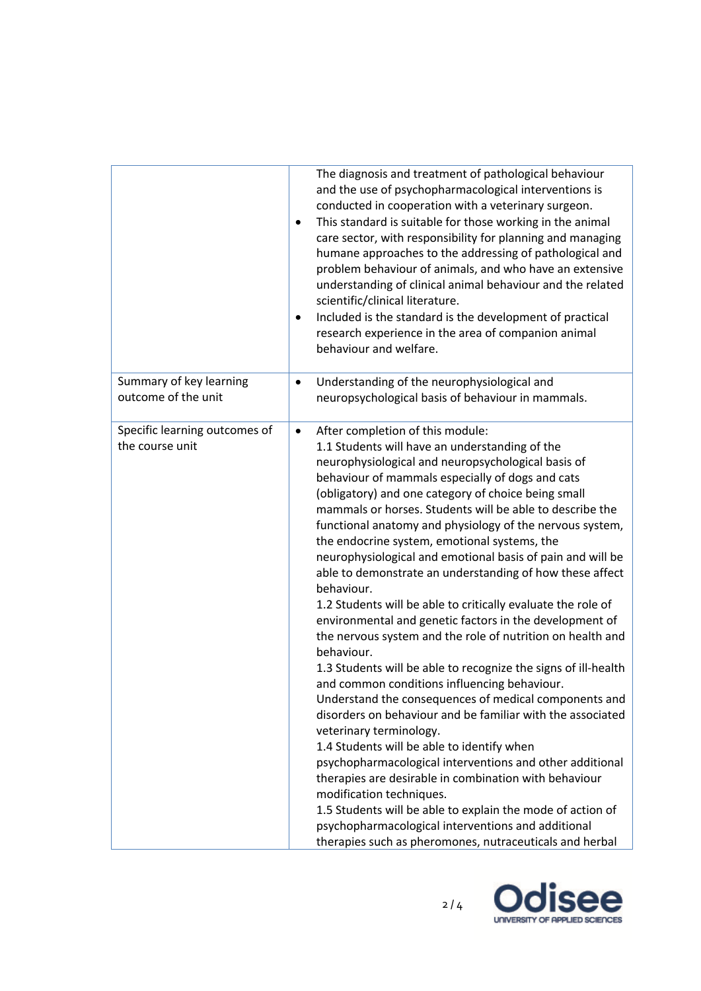|                                                  | The diagnosis and treatment of pathological behaviour<br>and the use of psychopharmacological interventions is<br>conducted in cooperation with a veterinary surgeon.<br>This standard is suitable for those working in the animal<br>$\bullet$<br>care sector, with responsibility for planning and managing<br>humane approaches to the addressing of pathological and<br>problem behaviour of animals, and who have an extensive<br>understanding of clinical animal behaviour and the related<br>scientific/clinical literature.<br>Included is the standard is the development of practical<br>$\bullet$<br>research experience in the area of companion animal<br>behaviour and welfare.                                                                                                                                                                                                                                                                                                                                                                                                                                                                                                                                                                                                                                                                                                                                            |
|--------------------------------------------------|-------------------------------------------------------------------------------------------------------------------------------------------------------------------------------------------------------------------------------------------------------------------------------------------------------------------------------------------------------------------------------------------------------------------------------------------------------------------------------------------------------------------------------------------------------------------------------------------------------------------------------------------------------------------------------------------------------------------------------------------------------------------------------------------------------------------------------------------------------------------------------------------------------------------------------------------------------------------------------------------------------------------------------------------------------------------------------------------------------------------------------------------------------------------------------------------------------------------------------------------------------------------------------------------------------------------------------------------------------------------------------------------------------------------------------------------|
| Summary of key learning<br>outcome of the unit   | Understanding of the neurophysiological and<br>$\bullet$<br>neuropsychological basis of behaviour in mammals.                                                                                                                                                                                                                                                                                                                                                                                                                                                                                                                                                                                                                                                                                                                                                                                                                                                                                                                                                                                                                                                                                                                                                                                                                                                                                                                             |
| Specific learning outcomes of<br>the course unit | After completion of this module:<br>$\bullet$<br>1.1 Students will have an understanding of the<br>neurophysiological and neuropsychological basis of<br>behaviour of mammals especially of dogs and cats<br>(obligatory) and one category of choice being small<br>mammals or horses. Students will be able to describe the<br>functional anatomy and physiology of the nervous system,<br>the endocrine system, emotional systems, the<br>neurophysiological and emotional basis of pain and will be<br>able to demonstrate an understanding of how these affect<br>behaviour.<br>1.2 Students will be able to critically evaluate the role of<br>environmental and genetic factors in the development of<br>the nervous system and the role of nutrition on health and<br>behaviour.<br>1.3 Students will be able to recognize the signs of ill-health<br>and common conditions influencing behaviour.<br>Understand the consequences of medical components and<br>disorders on behaviour and be familiar with the associated<br>veterinary terminology.<br>1.4 Students will be able to identify when<br>psychopharmacological interventions and other additional<br>therapies are desirable in combination with behaviour<br>modification techniques.<br>1.5 Students will be able to explain the mode of action of<br>psychopharmacological interventions and additional<br>therapies such as pheromones, nutraceuticals and herbal |

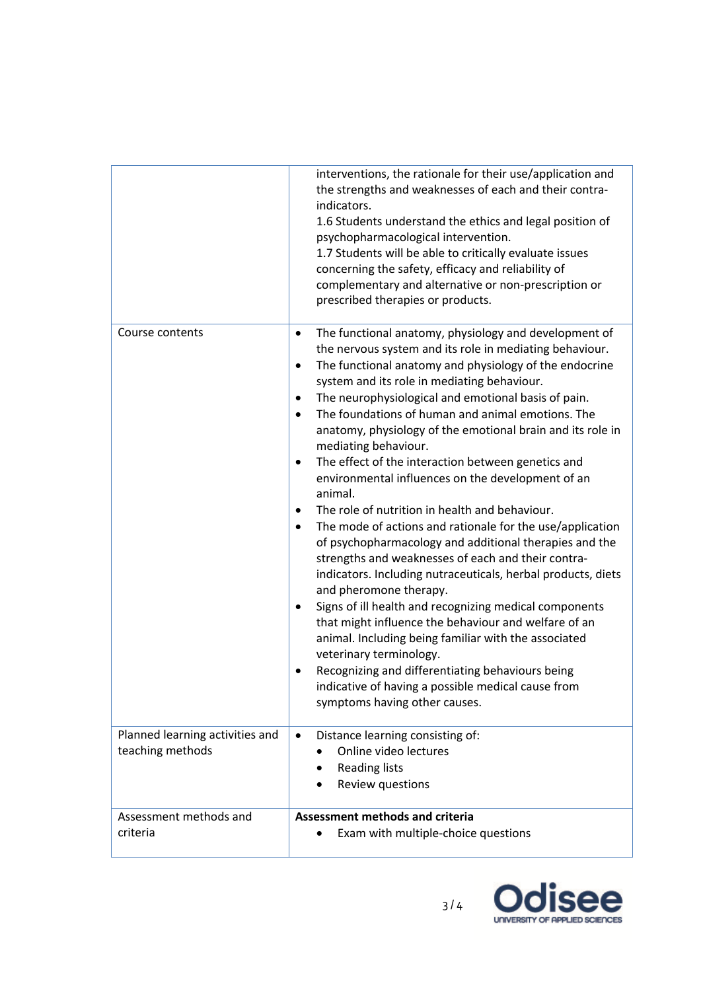|                                                     | interventions, the rationale for their use/application and<br>the strengths and weaknesses of each and their contra-<br>indicators.<br>1.6 Students understand the ethics and legal position of<br>psychopharmacological intervention.<br>1.7 Students will be able to critically evaluate issues<br>concerning the safety, efficacy and reliability of<br>complementary and alternative or non-prescription or<br>prescribed therapies or products.                                                                                                                                                                                                                                                                                                                                                                                                                                                                                                                                                                                                                                                                                                                                                                                                                                                               |
|-----------------------------------------------------|--------------------------------------------------------------------------------------------------------------------------------------------------------------------------------------------------------------------------------------------------------------------------------------------------------------------------------------------------------------------------------------------------------------------------------------------------------------------------------------------------------------------------------------------------------------------------------------------------------------------------------------------------------------------------------------------------------------------------------------------------------------------------------------------------------------------------------------------------------------------------------------------------------------------------------------------------------------------------------------------------------------------------------------------------------------------------------------------------------------------------------------------------------------------------------------------------------------------------------------------------------------------------------------------------------------------|
| Course contents                                     | The functional anatomy, physiology and development of<br>٠<br>the nervous system and its role in mediating behaviour.<br>The functional anatomy and physiology of the endocrine<br>$\bullet$<br>system and its role in mediating behaviour.<br>The neurophysiological and emotional basis of pain.<br>$\bullet$<br>The foundations of human and animal emotions. The<br>$\bullet$<br>anatomy, physiology of the emotional brain and its role in<br>mediating behaviour.<br>The effect of the interaction between genetics and<br>$\bullet$<br>environmental influences on the development of an<br>animal.<br>The role of nutrition in health and behaviour.<br>٠<br>The mode of actions and rationale for the use/application<br>$\bullet$<br>of psychopharmacology and additional therapies and the<br>strengths and weaknesses of each and their contra-<br>indicators. Including nutraceuticals, herbal products, diets<br>and pheromone therapy.<br>Signs of ill health and recognizing medical components<br>$\bullet$<br>that might influence the behaviour and welfare of an<br>animal. Including being familiar with the associated<br>veterinary terminology.<br>Recognizing and differentiating behaviours being<br>indicative of having a possible medical cause from<br>symptoms having other causes. |
| Planned learning activities and<br>teaching methods | Distance learning consisting of:<br>$\bullet$<br>Online video lectures<br><b>Reading lists</b><br>$\bullet$<br>Review questions                                                                                                                                                                                                                                                                                                                                                                                                                                                                                                                                                                                                                                                                                                                                                                                                                                                                                                                                                                                                                                                                                                                                                                                    |
| Assessment methods and<br>criteria                  | <b>Assessment methods and criteria</b><br>Exam with multiple-choice questions                                                                                                                                                                                                                                                                                                                                                                                                                                                                                                                                                                                                                                                                                                                                                                                                                                                                                                                                                                                                                                                                                                                                                                                                                                      |

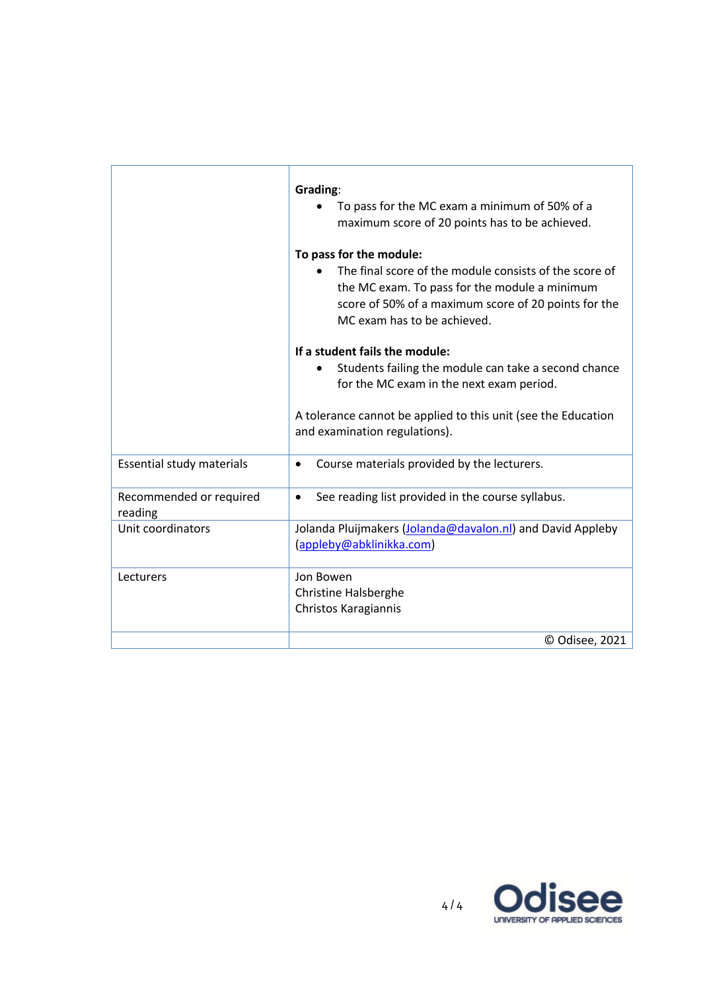|                                    | Grading:<br>To pass for the MC exam a minimum of 50% of a<br>maximum score of 20 points has to be achieved.<br>To pass for the module:<br>The final score of the module consists of the score of<br>the MC exam. To pass for the module a minimum<br>score of 50% of a maximum score of 20 points for the<br>MC exam has to be achieved.<br>If a student fails the module: |
|------------------------------------|----------------------------------------------------------------------------------------------------------------------------------------------------------------------------------------------------------------------------------------------------------------------------------------------------------------------------------------------------------------------------|
|                                    | Students failing the module can take a second chance<br>for the MC exam in the next exam period.                                                                                                                                                                                                                                                                           |
|                                    | A tolerance cannot be applied to this unit (see the Education<br>and examination regulations).                                                                                                                                                                                                                                                                             |
| Essential study materials          | Course materials provided by the lecturers.<br>$\bullet$                                                                                                                                                                                                                                                                                                                   |
| Recommended or required<br>reading | See reading list provided in the course syllabus.                                                                                                                                                                                                                                                                                                                          |
| Unit coordinators                  | Jolanda Pluijmakers (Jolanda@davalon.nl) and David Appleby<br>(appleby@abklinikka.com)                                                                                                                                                                                                                                                                                     |
| Lecturers                          | Jon Bowen<br><b>Christine Halsberghe</b><br>Christos Karagiannis                                                                                                                                                                                                                                                                                                           |
|                                    | © Odisee, 2021                                                                                                                                                                                                                                                                                                                                                             |

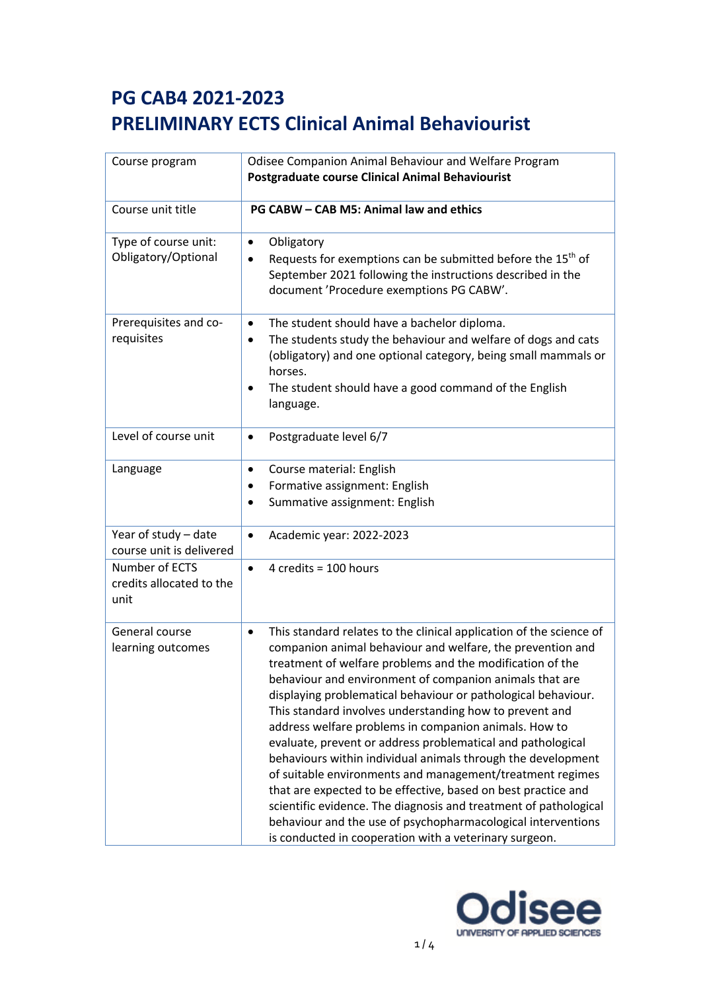| Course program                                     | Odisee Companion Animal Behaviour and Welfare Program<br><b>Postgraduate course Clinical Animal Behaviourist</b>                                                                                                                                                                                                                                                                                                                                                                                                                                                                                                                                                                                                                                                                                                                                                                                                       |  |
|----------------------------------------------------|------------------------------------------------------------------------------------------------------------------------------------------------------------------------------------------------------------------------------------------------------------------------------------------------------------------------------------------------------------------------------------------------------------------------------------------------------------------------------------------------------------------------------------------------------------------------------------------------------------------------------------------------------------------------------------------------------------------------------------------------------------------------------------------------------------------------------------------------------------------------------------------------------------------------|--|
| Course unit title                                  | PG CABW - CAB M5: Animal law and ethics                                                                                                                                                                                                                                                                                                                                                                                                                                                                                                                                                                                                                                                                                                                                                                                                                                                                                |  |
| Type of course unit:<br>Obligatory/Optional        | Obligatory<br>$\bullet$<br>Requests for exemptions can be submitted before the 15 <sup>th</sup> of<br>September 2021 following the instructions described in the<br>document 'Procedure exemptions PG CABW'.                                                                                                                                                                                                                                                                                                                                                                                                                                                                                                                                                                                                                                                                                                           |  |
| Prerequisites and co-<br>requisites                | The student should have a bachelor diploma.<br>٠<br>The students study the behaviour and welfare of dogs and cats<br>(obligatory) and one optional category, being small mammals or<br>horses.<br>The student should have a good command of the English<br>language.                                                                                                                                                                                                                                                                                                                                                                                                                                                                                                                                                                                                                                                   |  |
| Level of course unit                               | Postgraduate level 6/7<br>٠                                                                                                                                                                                                                                                                                                                                                                                                                                                                                                                                                                                                                                                                                                                                                                                                                                                                                            |  |
| Language                                           | Course material: English<br>$\bullet$<br>Formative assignment: English<br>Summative assignment: English                                                                                                                                                                                                                                                                                                                                                                                                                                                                                                                                                                                                                                                                                                                                                                                                                |  |
| Year of study - date<br>course unit is delivered   | Academic year: 2022-2023<br>$\bullet$                                                                                                                                                                                                                                                                                                                                                                                                                                                                                                                                                                                                                                                                                                                                                                                                                                                                                  |  |
| Number of ECTS<br>credits allocated to the<br>unit | 4 credits = 100 hours<br>$\bullet$                                                                                                                                                                                                                                                                                                                                                                                                                                                                                                                                                                                                                                                                                                                                                                                                                                                                                     |  |
| General course<br>learning outcomes                | This standard relates to the clinical application of the science of<br>$\bullet$<br>companion animal behaviour and welfare, the prevention and<br>treatment of welfare problems and the modification of the<br>behaviour and environment of companion animals that are<br>displaying problematical behaviour or pathological behaviour.<br>This standard involves understanding how to prevent and<br>address welfare problems in companion animals. How to<br>evaluate, prevent or address problematical and pathological<br>behaviours within individual animals through the development<br>of suitable environments and management/treatment regimes<br>that are expected to be effective, based on best practice and<br>scientific evidence. The diagnosis and treatment of pathological<br>behaviour and the use of psychopharmacological interventions<br>is conducted in cooperation with a veterinary surgeon. |  |

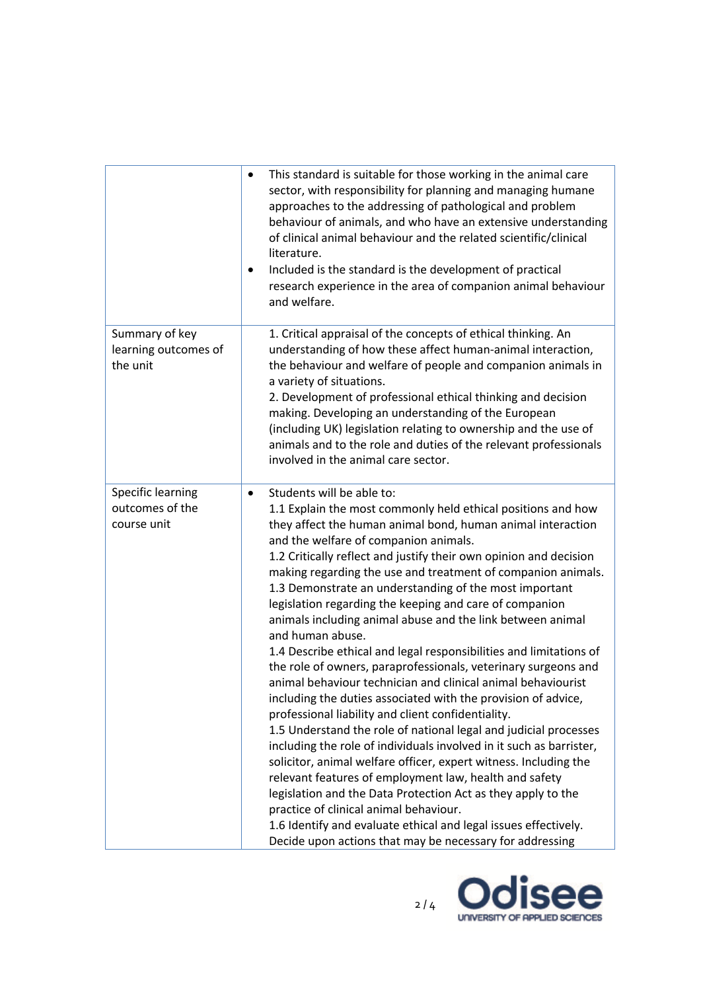|                                                     | This standard is suitable for those working in the animal care<br>٠<br>sector, with responsibility for planning and managing humane<br>approaches to the addressing of pathological and problem<br>behaviour of animals, and who have an extensive understanding<br>of clinical animal behaviour and the related scientific/clinical<br>literature.<br>Included is the standard is the development of practical<br>٠<br>research experience in the area of companion animal behaviour<br>and welfare.                                                                                                                                                                                                                                                                                                                                                                                                                                                                                                                                                                                                                                                                                                                                                                                                                                                                                                       |
|-----------------------------------------------------|-------------------------------------------------------------------------------------------------------------------------------------------------------------------------------------------------------------------------------------------------------------------------------------------------------------------------------------------------------------------------------------------------------------------------------------------------------------------------------------------------------------------------------------------------------------------------------------------------------------------------------------------------------------------------------------------------------------------------------------------------------------------------------------------------------------------------------------------------------------------------------------------------------------------------------------------------------------------------------------------------------------------------------------------------------------------------------------------------------------------------------------------------------------------------------------------------------------------------------------------------------------------------------------------------------------------------------------------------------------------------------------------------------------|
| Summary of key<br>learning outcomes of<br>the unit  | 1. Critical appraisal of the concepts of ethical thinking. An<br>understanding of how these affect human-animal interaction,<br>the behaviour and welfare of people and companion animals in<br>a variety of situations.<br>2. Development of professional ethical thinking and decision<br>making. Developing an understanding of the European<br>(including UK) legislation relating to ownership and the use of<br>animals and to the role and duties of the relevant professionals<br>involved in the animal care sector.                                                                                                                                                                                                                                                                                                                                                                                                                                                                                                                                                                                                                                                                                                                                                                                                                                                                               |
| Specific learning<br>outcomes of the<br>course unit | Students will be able to:<br>$\bullet$<br>1.1 Explain the most commonly held ethical positions and how<br>they affect the human animal bond, human animal interaction<br>and the welfare of companion animals.<br>1.2 Critically reflect and justify their own opinion and decision<br>making regarding the use and treatment of companion animals.<br>1.3 Demonstrate an understanding of the most important<br>legislation regarding the keeping and care of companion<br>animals including animal abuse and the link between animal<br>and human abuse.<br>1.4 Describe ethical and legal responsibilities and limitations of<br>the role of owners, paraprofessionals, veterinary surgeons and<br>animal behaviour technician and clinical animal behaviourist<br>including the duties associated with the provision of advice,<br>professional liability and client confidentiality.<br>1.5 Understand the role of national legal and judicial processes<br>including the role of individuals involved in it such as barrister,<br>solicitor, animal welfare officer, expert witness. Including the<br>relevant features of employment law, health and safety<br>legislation and the Data Protection Act as they apply to the<br>practice of clinical animal behaviour.<br>1.6 Identify and evaluate ethical and legal issues effectively.<br>Decide upon actions that may be necessary for addressing |

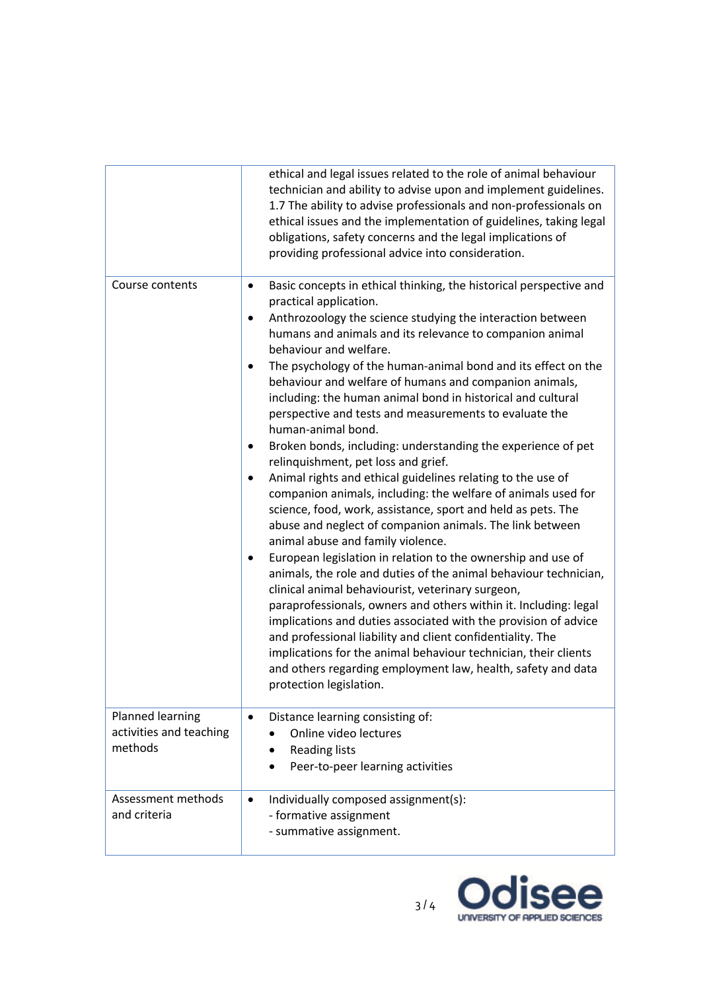|                                                        | ethical and legal issues related to the role of animal behaviour<br>technician and ability to advise upon and implement guidelines.<br>1.7 The ability to advise professionals and non-professionals on<br>ethical issues and the implementation of guidelines, taking legal<br>obligations, safety concerns and the legal implications of<br>providing professional advice into consideration.                                                                                                                                                                                                                                                                                                                                                                                                                                                                                                                                                                                                                                                                                                                                                                                                                                                                                                                                                                                                                                                                                                                                            |
|--------------------------------------------------------|--------------------------------------------------------------------------------------------------------------------------------------------------------------------------------------------------------------------------------------------------------------------------------------------------------------------------------------------------------------------------------------------------------------------------------------------------------------------------------------------------------------------------------------------------------------------------------------------------------------------------------------------------------------------------------------------------------------------------------------------------------------------------------------------------------------------------------------------------------------------------------------------------------------------------------------------------------------------------------------------------------------------------------------------------------------------------------------------------------------------------------------------------------------------------------------------------------------------------------------------------------------------------------------------------------------------------------------------------------------------------------------------------------------------------------------------------------------------------------------------------------------------------------------------|
| Course contents                                        | Basic concepts in ethical thinking, the historical perspective and<br>$\bullet$<br>practical application.<br>Anthrozoology the science studying the interaction between<br>$\bullet$<br>humans and animals and its relevance to companion animal<br>behaviour and welfare.<br>The psychology of the human-animal bond and its effect on the<br>$\bullet$<br>behaviour and welfare of humans and companion animals,<br>including: the human animal bond in historical and cultural<br>perspective and tests and measurements to evaluate the<br>human-animal bond.<br>Broken bonds, including: understanding the experience of pet<br>relinquishment, pet loss and grief.<br>Animal rights and ethical guidelines relating to the use of<br>companion animals, including: the welfare of animals used for<br>science, food, work, assistance, sport and held as pets. The<br>abuse and neglect of companion animals. The link between<br>animal abuse and family violence.<br>European legislation in relation to the ownership and use of<br>٠<br>animals, the role and duties of the animal behaviour technician,<br>clinical animal behaviourist, veterinary surgeon,<br>paraprofessionals, owners and others within it. Including: legal<br>implications and duties associated with the provision of advice<br>and professional liability and client confidentiality. The<br>implications for the animal behaviour technician, their clients<br>and others regarding employment law, health, safety and data<br>protection legislation. |
| Planned learning<br>activities and teaching<br>methods | Distance learning consisting of:<br>$\bullet$<br>Online video lectures<br><b>Reading lists</b><br>٠<br>Peer-to-peer learning activities<br>$\bullet$                                                                                                                                                                                                                                                                                                                                                                                                                                                                                                                                                                                                                                                                                                                                                                                                                                                                                                                                                                                                                                                                                                                                                                                                                                                                                                                                                                                       |
| Assessment methods<br>and criteria                     | Individually composed assignment(s):<br>٠<br>- formative assignment<br>- summative assignment.                                                                                                                                                                                                                                                                                                                                                                                                                                                                                                                                                                                                                                                                                                                                                                                                                                                                                                                                                                                                                                                                                                                                                                                                                                                                                                                                                                                                                                             |

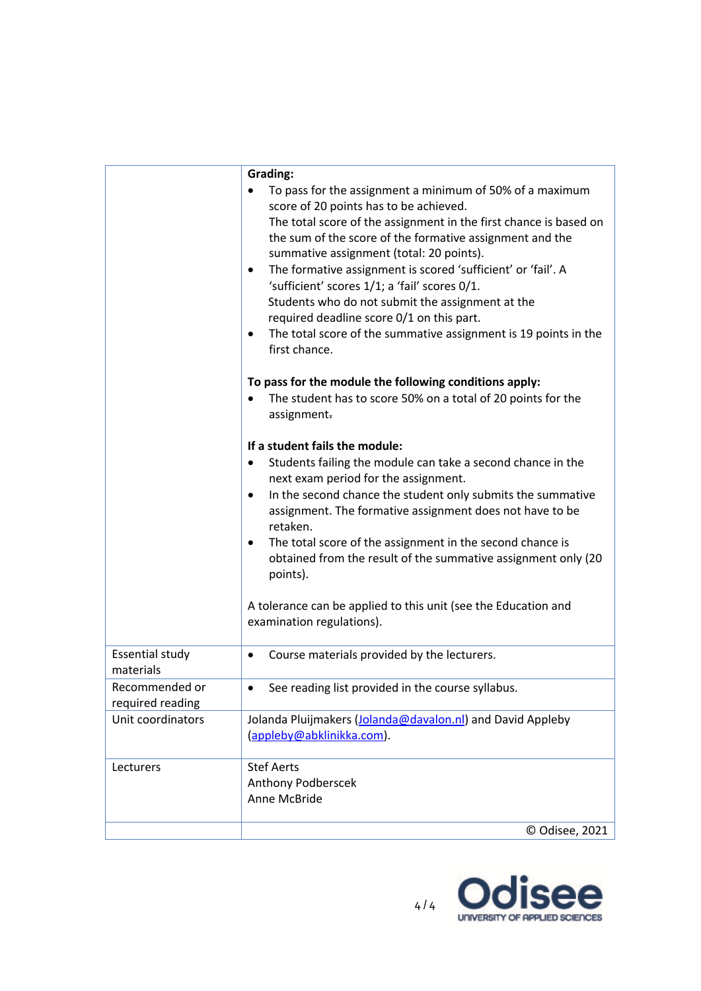|                        | Grading:                                                                 |
|------------------------|--------------------------------------------------------------------------|
|                        | To pass for the assignment a minimum of 50% of a maximum                 |
|                        | score of 20 points has to be achieved.                                   |
|                        | The total score of the assignment in the first chance is based on        |
|                        | the sum of the score of the formative assignment and the                 |
|                        | summative assignment (total: 20 points).                                 |
|                        | The formative assignment is scored 'sufficient' or 'fail'. A<br>٠        |
|                        | 'sufficient' scores 1/1; a 'fail' scores 0/1.                            |
|                        | Students who do not submit the assignment at the                         |
|                        | required deadline score 0/1 on this part.                                |
|                        | The total score of the summative assignment is 19 points in the<br>٠     |
|                        | first chance.                                                            |
|                        | To pass for the module the following conditions apply:                   |
|                        | The student has to score 50% on a total of 20 points for the             |
|                        | assignment.                                                              |
|                        |                                                                          |
|                        | If a student fails the module:                                           |
|                        | Students failing the module can take a second chance in the<br>$\bullet$ |
|                        | next exam period for the assignment.                                     |
|                        | In the second chance the student only submits the summative<br>٠         |
|                        | assignment. The formative assignment does not have to be                 |
|                        | retaken.                                                                 |
|                        | The total score of the assignment in the second chance is<br>٠           |
|                        | obtained from the result of the summative assignment only (20            |
|                        | points).                                                                 |
|                        | A tolerance can be applied to this unit (see the Education and           |
|                        | examination regulations).                                                |
|                        |                                                                          |
| <b>Essential study</b> | Course materials provided by the lecturers.<br>٠                         |
| materials              |                                                                          |
| Recommended or         | See reading list provided in the course syllabus.                        |
| required reading       |                                                                          |
| Unit coordinators      | Jolanda Pluijmakers (Jolanda@davalon.nl) and David Appleby               |
|                        | (appleby@abklinikka.com).                                                |
| Lecturers              | <b>Stef Aerts</b>                                                        |
|                        | Anthony Podberscek                                                       |
|                        | Anne McBride                                                             |
|                        |                                                                          |
|                        | © Odisee, 2021                                                           |

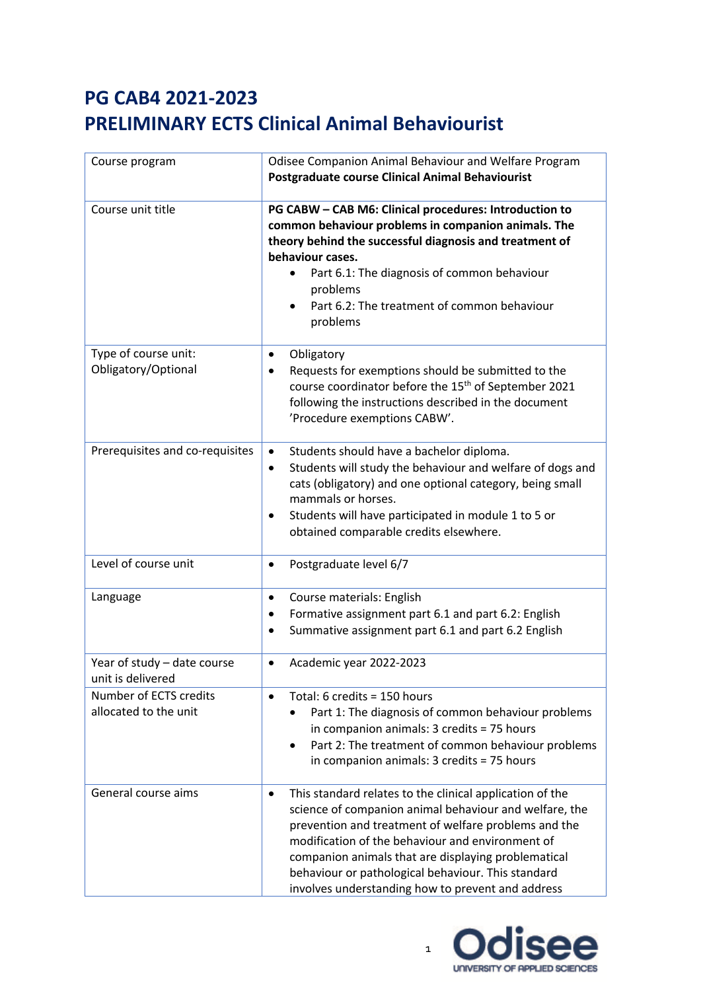| Course program                                   | Odisee Companion Animal Behaviour and Welfare Program<br><b>Postgraduate course Clinical Animal Behaviourist</b>                                                                                                                                                                                                                                                                                              |
|--------------------------------------------------|---------------------------------------------------------------------------------------------------------------------------------------------------------------------------------------------------------------------------------------------------------------------------------------------------------------------------------------------------------------------------------------------------------------|
| Course unit title                                | PG CABW - CAB M6: Clinical procedures: Introduction to<br>common behaviour problems in companion animals. The<br>theory behind the successful diagnosis and treatment of<br>behaviour cases.<br>Part 6.1: The diagnosis of common behaviour<br>$\bullet$<br>problems<br>Part 6.2: The treatment of common behaviour<br>problems                                                                               |
| Type of course unit:<br>Obligatory/Optional      | Obligatory<br>$\bullet$<br>Requests for exemptions should be submitted to the<br>course coordinator before the 15 <sup>th</sup> of September 2021<br>following the instructions described in the document<br>'Procedure exemptions CABW'.                                                                                                                                                                     |
| Prerequisites and co-requisites                  | Students should have a bachelor diploma.<br>$\bullet$<br>Students will study the behaviour and welfare of dogs and<br>$\bullet$<br>cats (obligatory) and one optional category, being small<br>mammals or horses.<br>Students will have participated in module 1 to 5 or<br>$\bullet$<br>obtained comparable credits elsewhere.                                                                               |
| Level of course unit                             | Postgraduate level 6/7<br>$\bullet$                                                                                                                                                                                                                                                                                                                                                                           |
| Language                                         | Course materials: English<br>$\bullet$<br>Formative assignment part 6.1 and part 6.2: English<br>$\bullet$<br>Summative assignment part 6.1 and part 6.2 English                                                                                                                                                                                                                                              |
| Year of study - date course<br>unit is delivered | Academic year 2022-2023<br>$\bullet$                                                                                                                                                                                                                                                                                                                                                                          |
| Number of ECTS credits<br>allocated to the unit  | Total: 6 credits = 150 hours<br>$\bullet$<br>Part 1: The diagnosis of common behaviour problems<br>$\bullet$<br>in companion animals: 3 credits = 75 hours<br>Part 2: The treatment of common behaviour problems<br>in companion animals: 3 credits = 75 hours                                                                                                                                                |
| General course aims                              | This standard relates to the clinical application of the<br>$\bullet$<br>science of companion animal behaviour and welfare, the<br>prevention and treatment of welfare problems and the<br>modification of the behaviour and environment of<br>companion animals that are displaying problematical<br>behaviour or pathological behaviour. This standard<br>involves understanding how to prevent and address |

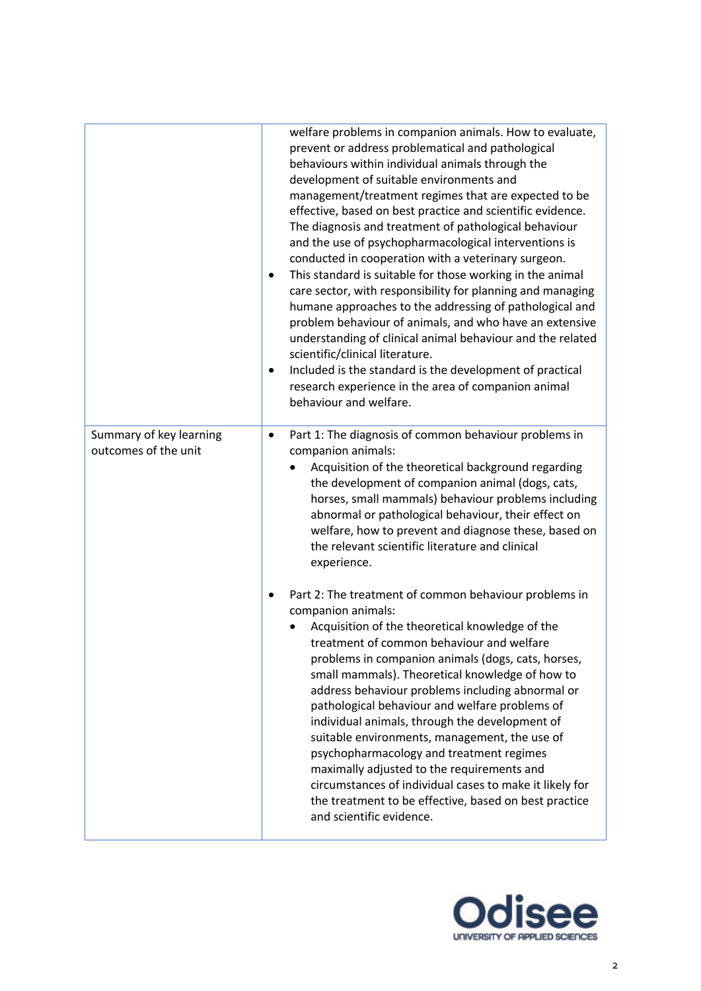|                                                 | welfare problems in companion animals. How to evaluate,<br>prevent or address problematical and pathological<br>behaviours within individual animals through the<br>development of suitable environments and<br>management/treatment regimes that are expected to be<br>effective, based on best practice and scientific evidence.<br>The diagnosis and treatment of pathological behaviour<br>and the use of psychopharmacological interventions is<br>conducted in cooperation with a veterinary surgeon.<br>This standard is suitable for those working in the animal<br>$\bullet$<br>care sector, with responsibility for planning and managing<br>humane approaches to the addressing of pathological and<br>problem behaviour of animals, and who have an extensive<br>understanding of clinical animal behaviour and the related<br>scientific/clinical literature.<br>Included is the standard is the development of practical<br>$\bullet$<br>research experience in the area of companion animal<br>behaviour and welfare. |
|-------------------------------------------------|--------------------------------------------------------------------------------------------------------------------------------------------------------------------------------------------------------------------------------------------------------------------------------------------------------------------------------------------------------------------------------------------------------------------------------------------------------------------------------------------------------------------------------------------------------------------------------------------------------------------------------------------------------------------------------------------------------------------------------------------------------------------------------------------------------------------------------------------------------------------------------------------------------------------------------------------------------------------------------------------------------------------------------------|
| Summary of key learning<br>outcomes of the unit | Part 1: The diagnosis of common behaviour problems in<br>$\bullet$<br>companion animals:<br>Acquisition of the theoretical background regarding<br>the development of companion animal (dogs, cats,<br>horses, small mammals) behaviour problems including<br>abnormal or pathological behaviour, their effect on<br>welfare, how to prevent and diagnose these, based on<br>the relevant scientific literature and clinical<br>experience.                                                                                                                                                                                                                                                                                                                                                                                                                                                                                                                                                                                          |
|                                                 | Part 2: The treatment of common behaviour problems in<br>companion animals:<br>Acquisition of the theoretical knowledge of the<br>treatment of common behaviour and welfare<br>problems in companion animals (dogs, cats, horses,<br>small mammals). Theoretical knowledge of how to<br>address behaviour problems including abnormal or<br>pathological behaviour and welfare problems of<br>individual animals, through the development of<br>suitable environments, management, the use of<br>psychopharmacology and treatment regimes<br>maximally adjusted to the requirements and<br>circumstances of individual cases to make it likely for<br>the treatment to be effective, based on best practice<br>and scientific evidence.                                                                                                                                                                                                                                                                                              |

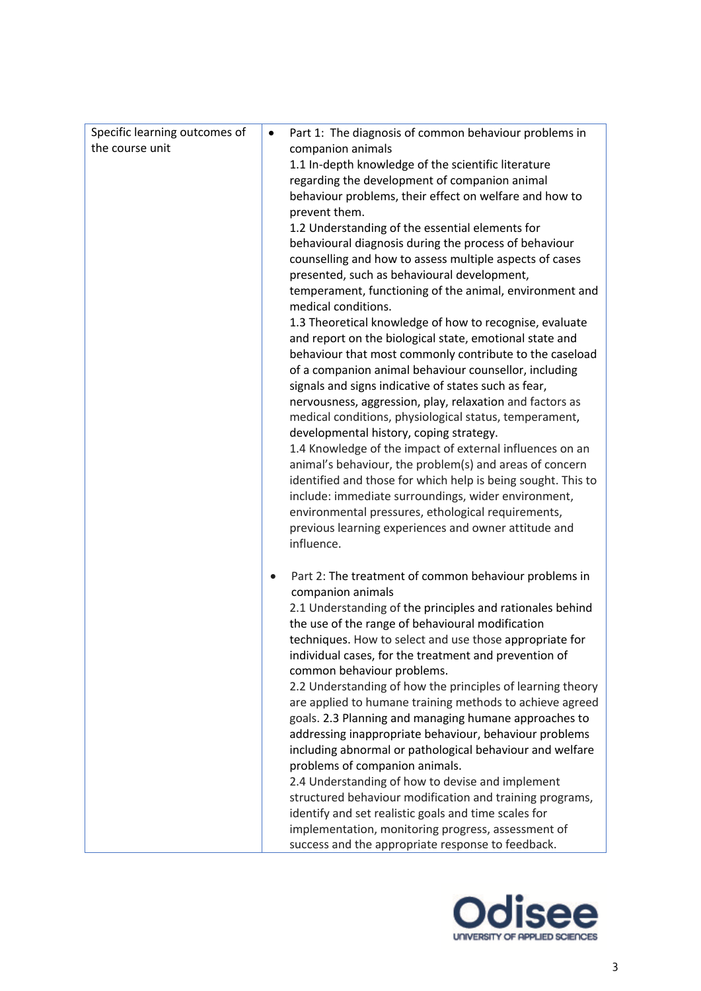| Specific learning outcomes of | Part 1: The diagnosis of common behaviour problems in<br>$\bullet$                                                      |
|-------------------------------|-------------------------------------------------------------------------------------------------------------------------|
| the course unit               | companion animals                                                                                                       |
|                               | 1.1 In-depth knowledge of the scientific literature                                                                     |
|                               | regarding the development of companion animal                                                                           |
|                               | behaviour problems, their effect on welfare and how to                                                                  |
|                               | prevent them.                                                                                                           |
|                               | 1.2 Understanding of the essential elements for                                                                         |
|                               | behavioural diagnosis during the process of behaviour                                                                   |
|                               | counselling and how to assess multiple aspects of cases                                                                 |
|                               | presented, such as behavioural development,                                                                             |
|                               | temperament, functioning of the animal, environment and                                                                 |
|                               | medical conditions.                                                                                                     |
|                               | 1.3 Theoretical knowledge of how to recognise, evaluate                                                                 |
|                               | and report on the biological state, emotional state and                                                                 |
|                               | behaviour that most commonly contribute to the caseload                                                                 |
|                               | of a companion animal behaviour counsellor, including                                                                   |
|                               | signals and signs indicative of states such as fear,                                                                    |
|                               | nervousness, aggression, play, relaxation and factors as                                                                |
|                               | medical conditions, physiological status, temperament,                                                                  |
|                               | developmental history, coping strategy.                                                                                 |
|                               | 1.4 Knowledge of the impact of external influences on an                                                                |
|                               | animal's behaviour, the problem(s) and areas of concern<br>identified and those for which help is being sought. This to |
|                               | include: immediate surroundings, wider environment,                                                                     |
|                               | environmental pressures, ethological requirements,                                                                      |
|                               | previous learning experiences and owner attitude and                                                                    |
|                               | influence.                                                                                                              |
|                               |                                                                                                                         |
|                               | Part 2: The treatment of common behaviour problems in                                                                   |
|                               | companion animals                                                                                                       |
|                               | 2.1 Understanding of the principles and rationales behind                                                               |
|                               | the use of the range of behavioural modification                                                                        |
|                               | techniques. How to select and use those appropriate for                                                                 |
|                               | individual cases, for the treatment and prevention of                                                                   |
|                               | common behaviour problems.                                                                                              |
|                               | 2.2 Understanding of how the principles of learning theory                                                              |
|                               | are applied to humane training methods to achieve agreed                                                                |
|                               | goals. 2.3 Planning and managing humane approaches to<br>addressing inappropriate behaviour, behaviour problems         |
|                               | including abnormal or pathological behaviour and welfare                                                                |
|                               | problems of companion animals.                                                                                          |
|                               | 2.4 Understanding of how to devise and implement                                                                        |
|                               | structured behaviour modification and training programs,                                                                |
|                               | identify and set realistic goals and time scales for                                                                    |
|                               | implementation, monitoring progress, assessment of                                                                      |
|                               | success and the appropriate response to feedback.                                                                       |
|                               |                                                                                                                         |

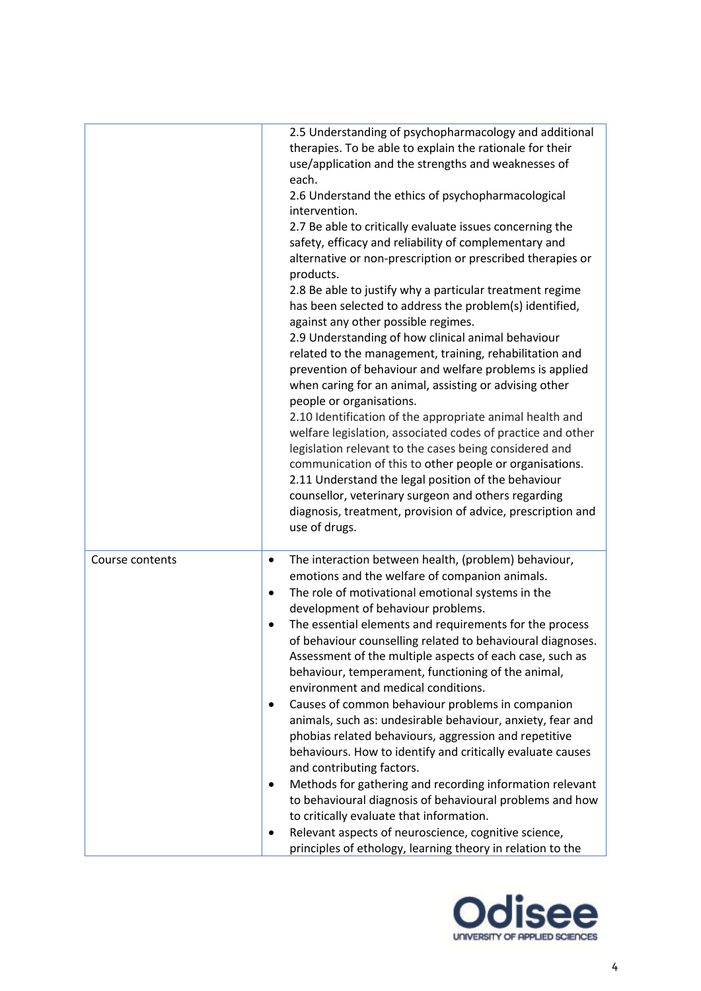|                 | 2.5 Understanding of psychopharmacology and additional<br>therapies. To be able to explain the rationale for their<br>use/application and the strengths and weaknesses of<br>each.<br>2.6 Understand the ethics of psychopharmacological<br>intervention.<br>2.7 Be able to critically evaluate issues concerning the<br>safety, efficacy and reliability of complementary and<br>alternative or non-prescription or prescribed therapies or<br>products.<br>2.8 Be able to justify why a particular treatment regime<br>has been selected to address the problem(s) identified,<br>against any other possible regimes.<br>2.9 Understanding of how clinical animal behaviour<br>related to the management, training, rehabilitation and<br>prevention of behaviour and welfare problems is applied<br>when caring for an animal, assisting or advising other<br>people or organisations.<br>2.10 Identification of the appropriate animal health and<br>welfare legislation, associated codes of practice and other<br>legislation relevant to the cases being considered and<br>communication of this to other people or organisations.<br>2.11 Understand the legal position of the behaviour<br>counsellor, veterinary surgeon and others regarding<br>diagnosis, treatment, provision of advice, prescription and<br>use of drugs. |
|-----------------|-----------------------------------------------------------------------------------------------------------------------------------------------------------------------------------------------------------------------------------------------------------------------------------------------------------------------------------------------------------------------------------------------------------------------------------------------------------------------------------------------------------------------------------------------------------------------------------------------------------------------------------------------------------------------------------------------------------------------------------------------------------------------------------------------------------------------------------------------------------------------------------------------------------------------------------------------------------------------------------------------------------------------------------------------------------------------------------------------------------------------------------------------------------------------------------------------------------------------------------------------------------------------------------------------------------------------------------------|
| Course contents | The interaction between health, (problem) behaviour,<br>٠<br>emotions and the welfare of companion animals.<br>The role of motivational emotional systems in the<br>$\bullet$<br>development of behaviour problems.<br>The essential elements and requirements for the process<br>$\bullet$<br>of behaviour counselling related to behavioural diagnoses.<br>Assessment of the multiple aspects of each case, such as<br>behaviour, temperament, functioning of the animal,<br>environment and medical conditions.<br>Causes of common behaviour problems in companion<br>$\bullet$<br>animals, such as: undesirable behaviour, anxiety, fear and<br>phobias related behaviours, aggression and repetitive<br>behaviours. How to identify and critically evaluate causes<br>and contributing factors.<br>Methods for gathering and recording information relevant<br>$\bullet$<br>to behavioural diagnosis of behavioural problems and how<br>to critically evaluate that information.<br>Relevant aspects of neuroscience, cognitive science,<br>٠<br>principles of ethology, learning theory in relation to the                                                                                                                                                                                                                       |

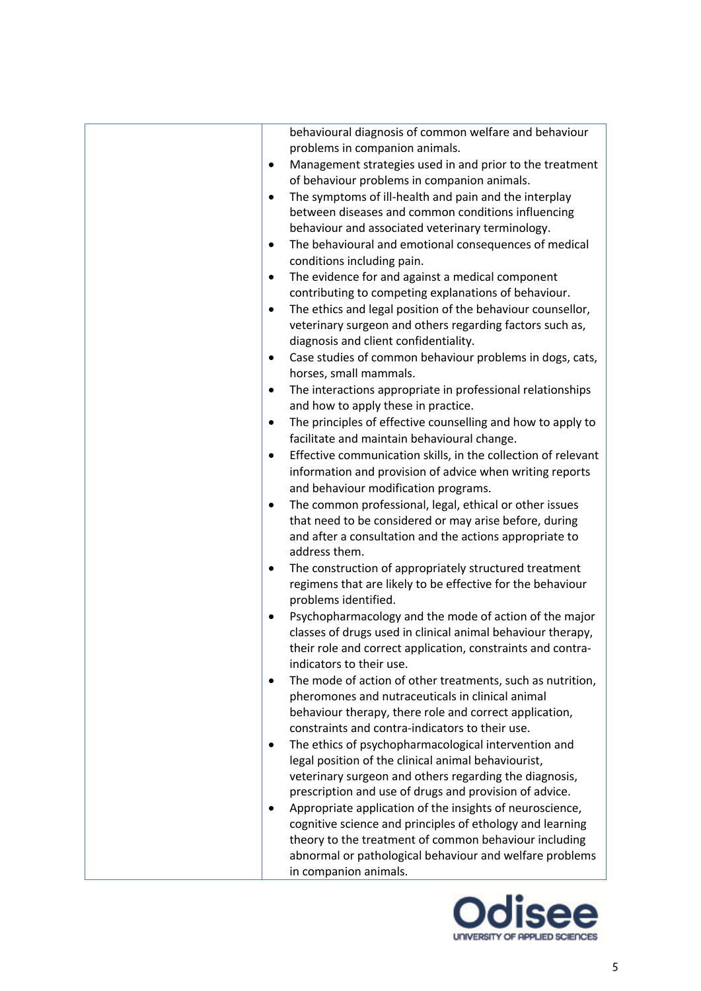| behavioural diagnosis of common welfare and behaviour                      |
|----------------------------------------------------------------------------|
| problems in companion animals.                                             |
| Management strategies used in and prior to the treatment<br>$\bullet$      |
| of behaviour problems in companion animals.                                |
| The symptoms of ill-health and pain and the interplay<br>$\bullet$         |
| between diseases and common conditions influencing                         |
| behaviour and associated veterinary terminology.                           |
| The behavioural and emotional consequences of medical<br>$\bullet$         |
| conditions including pain.                                                 |
| The evidence for and against a medical component<br>$\bullet$              |
| contributing to competing explanations of behaviour.                       |
| The ethics and legal position of the behaviour counsellor,<br>$\bullet$    |
| veterinary surgeon and others regarding factors such as,                   |
| diagnosis and client confidentiality.                                      |
| Case studies of common behaviour problems in dogs, cats,<br>$\bullet$      |
| horses, small mammals.                                                     |
| The interactions appropriate in professional relationships<br>٠            |
| and how to apply these in practice.                                        |
| The principles of effective counselling and how to apply to<br>$\bullet$   |
| facilitate and maintain behavioural change.                                |
| Effective communication skills, in the collection of relevant<br>$\bullet$ |
| information and provision of advice when writing reports                   |
| and behaviour modification programs.                                       |
| The common professional, legal, ethical or other issues<br>٠               |
| that need to be considered or may arise before, during                     |
| and after a consultation and the actions appropriate to                    |
| address them.                                                              |
| The construction of appropriately structured treatment<br>$\bullet$        |
| regimens that are likely to be effective for the behaviour                 |
| problems identified.                                                       |
| Psychopharmacology and the mode of action of the major<br>$\bullet$        |
| classes of drugs used in clinical animal behaviour therapy,                |
| their role and correct application, constraints and contra-                |
| indicators to their use.                                                   |
| The mode of action of other treatments, such as nutrition,<br>$\bullet$    |
| pheromones and nutraceuticals in clinical animal                           |
| behaviour therapy, there role and correct application,                     |
| constraints and contra-indicators to their use.                            |
| The ethics of psychopharmacological intervention and<br>$\bullet$          |
| legal position of the clinical animal behaviourist,                        |
| veterinary surgeon and others regarding the diagnosis,                     |
| prescription and use of drugs and provision of advice.                     |
| Appropriate application of the insights of neuroscience,<br>٠              |
| cognitive science and principles of ethology and learning                  |
| theory to the treatment of common behaviour including                      |
| abnormal or pathological behaviour and welfare problems                    |
| in companion animals.                                                      |

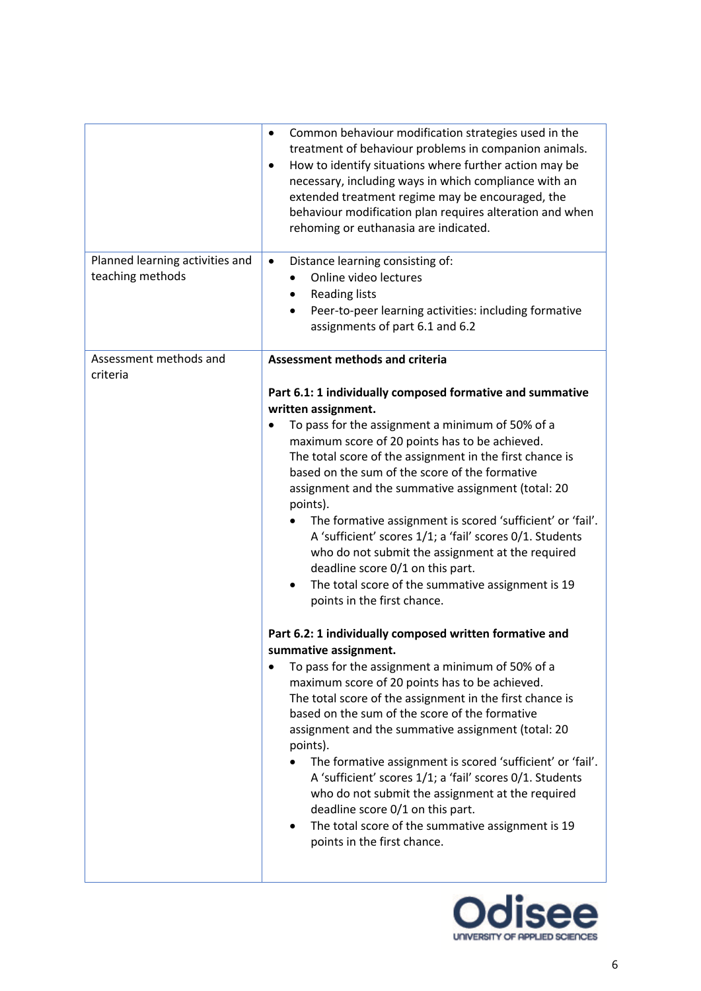|                                                     | Common behaviour modification strategies used in the<br>$\bullet$<br>treatment of behaviour problems in companion animals.<br>How to identify situations where further action may be<br>$\bullet$<br>necessary, including ways in which compliance with an<br>extended treatment regime may be encouraged, the<br>behaviour modification plan requires alteration and when<br>rehoming or euthanasia are indicated.                                                                                                                                                                                                                                                                                                                                                                                                                                                                                                                                                                                                                                                                                                                                                                                                                                                                                                                                                            |
|-----------------------------------------------------|--------------------------------------------------------------------------------------------------------------------------------------------------------------------------------------------------------------------------------------------------------------------------------------------------------------------------------------------------------------------------------------------------------------------------------------------------------------------------------------------------------------------------------------------------------------------------------------------------------------------------------------------------------------------------------------------------------------------------------------------------------------------------------------------------------------------------------------------------------------------------------------------------------------------------------------------------------------------------------------------------------------------------------------------------------------------------------------------------------------------------------------------------------------------------------------------------------------------------------------------------------------------------------------------------------------------------------------------------------------------------------|
| Planned learning activities and<br>teaching methods | Distance learning consisting of:<br>$\bullet$<br>Online video lectures<br><b>Reading lists</b><br>٠<br>Peer-to-peer learning activities: including formative<br>assignments of part 6.1 and 6.2                                                                                                                                                                                                                                                                                                                                                                                                                                                                                                                                                                                                                                                                                                                                                                                                                                                                                                                                                                                                                                                                                                                                                                                |
| Assessment methods and<br>criteria                  | <b>Assessment methods and criteria</b>                                                                                                                                                                                                                                                                                                                                                                                                                                                                                                                                                                                                                                                                                                                                                                                                                                                                                                                                                                                                                                                                                                                                                                                                                                                                                                                                         |
|                                                     | Part 6.1: 1 individually composed formative and summative<br>written assignment.<br>To pass for the assignment a minimum of 50% of a<br>maximum score of 20 points has to be achieved.<br>The total score of the assignment in the first chance is<br>based on the sum of the score of the formative<br>assignment and the summative assignment (total: 20<br>points).<br>The formative assignment is scored 'sufficient' or 'fail'.<br>A 'sufficient' scores 1/1; a 'fail' scores 0/1. Students<br>who do not submit the assignment at the required<br>deadline score 0/1 on this part.<br>The total score of the summative assignment is 19<br>$\bullet$<br>points in the first chance.<br>Part 6.2: 1 individually composed written formative and<br>summative assignment.<br>To pass for the assignment a minimum of 50% of a<br>٠<br>maximum score of 20 points has to be achieved.<br>The total score of the assignment in the first chance is<br>based on the sum of the score of the formative<br>assignment and the summative assignment (total: 20<br>points).<br>The formative assignment is scored 'sufficient' or 'fail'.<br>A 'sufficient' scores 1/1; a 'fail' scores 0/1. Students<br>who do not submit the assignment at the required<br>deadline score 0/1 on this part.<br>The total score of the summative assignment is 19<br>points in the first chance. |
|                                                     |                                                                                                                                                                                                                                                                                                                                                                                                                                                                                                                                                                                                                                                                                                                                                                                                                                                                                                                                                                                                                                                                                                                                                                                                                                                                                                                                                                                |

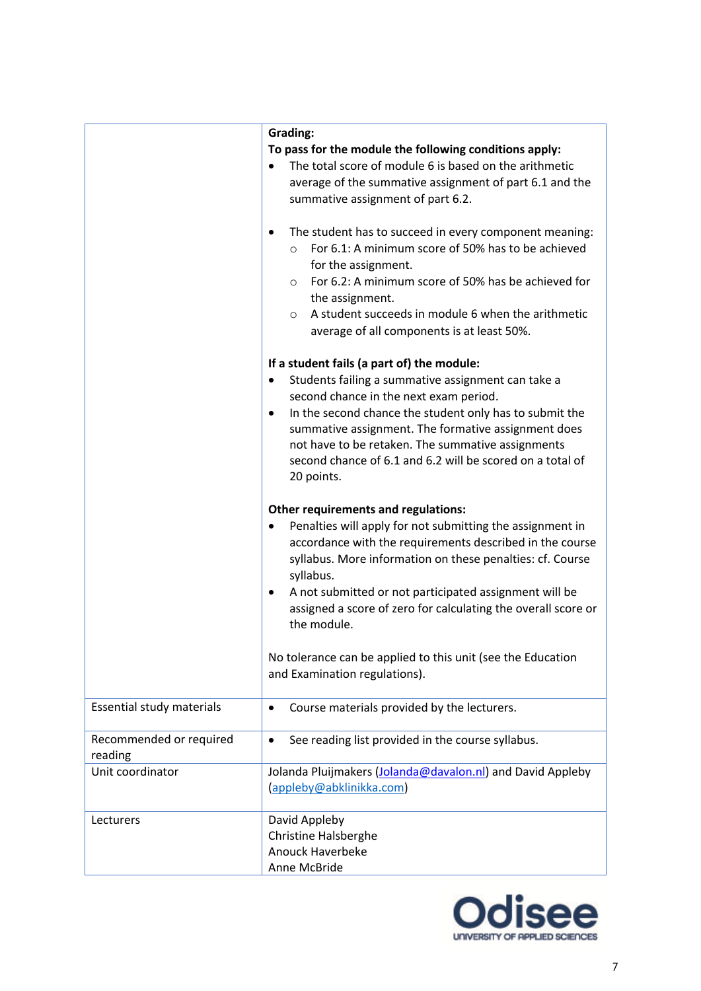|                                    | Grading:                                                                                                                                                                                                                                                                                                                                           |
|------------------------------------|----------------------------------------------------------------------------------------------------------------------------------------------------------------------------------------------------------------------------------------------------------------------------------------------------------------------------------------------------|
|                                    | To pass for the module the following conditions apply:                                                                                                                                                                                                                                                                                             |
|                                    | The total score of module 6 is based on the arithmetic<br>$\bullet$                                                                                                                                                                                                                                                                                |
|                                    | average of the summative assignment of part 6.1 and the<br>summative assignment of part 6.2.                                                                                                                                                                                                                                                       |
|                                    |                                                                                                                                                                                                                                                                                                                                                    |
|                                    | The student has to succeed in every component meaning:<br>For 6.1: A minimum score of 50% has to be achieved<br>$\circ$<br>for the assignment.<br>For 6.2: A minimum score of 50% has be achieved for<br>$\circ$<br>the assignment.<br>A student succeeds in module 6 when the arithmetic<br>$\circ$<br>average of all components is at least 50%. |
|                                    | If a student fails (a part of) the module:                                                                                                                                                                                                                                                                                                         |
|                                    | Students failing a summative assignment can take a<br>٠<br>second chance in the next exam period.                                                                                                                                                                                                                                                  |
|                                    | In the second chance the student only has to submit the<br>$\bullet$                                                                                                                                                                                                                                                                               |
|                                    | summative assignment. The formative assignment does                                                                                                                                                                                                                                                                                                |
|                                    | not have to be retaken. The summative assignments                                                                                                                                                                                                                                                                                                  |
|                                    | second chance of 6.1 and 6.2 will be scored on a total of<br>20 points.                                                                                                                                                                                                                                                                            |
|                                    |                                                                                                                                                                                                                                                                                                                                                    |
|                                    | Other requirements and regulations:<br>Penalties will apply for not submitting the assignment in<br>٠<br>accordance with the requirements described in the course<br>syllabus. More information on these penalties: cf. Course<br>syllabus.<br>A not submitted or not participated assignment will be<br>$\bullet$                                 |
|                                    | assigned a score of zero for calculating the overall score or<br>the module.                                                                                                                                                                                                                                                                       |
|                                    | No tolerance can be applied to this unit (see the Education<br>and Examination regulations).                                                                                                                                                                                                                                                       |
| Essential study materials          | Course materials provided by the lecturers.<br>$\bullet$                                                                                                                                                                                                                                                                                           |
| Recommended or required<br>reading | See reading list provided in the course syllabus.<br>$\bullet$                                                                                                                                                                                                                                                                                     |
| Unit coordinator                   | Jolanda Pluijmakers (Jolanda@davalon.nl) and David Appleby<br>(appleby@abklinikka.com)                                                                                                                                                                                                                                                             |
| Lecturers                          | David Appleby<br><b>Christine Halsberghe</b><br><b>Anouck Haverbeke</b><br>Anne McBride                                                                                                                                                                                                                                                            |

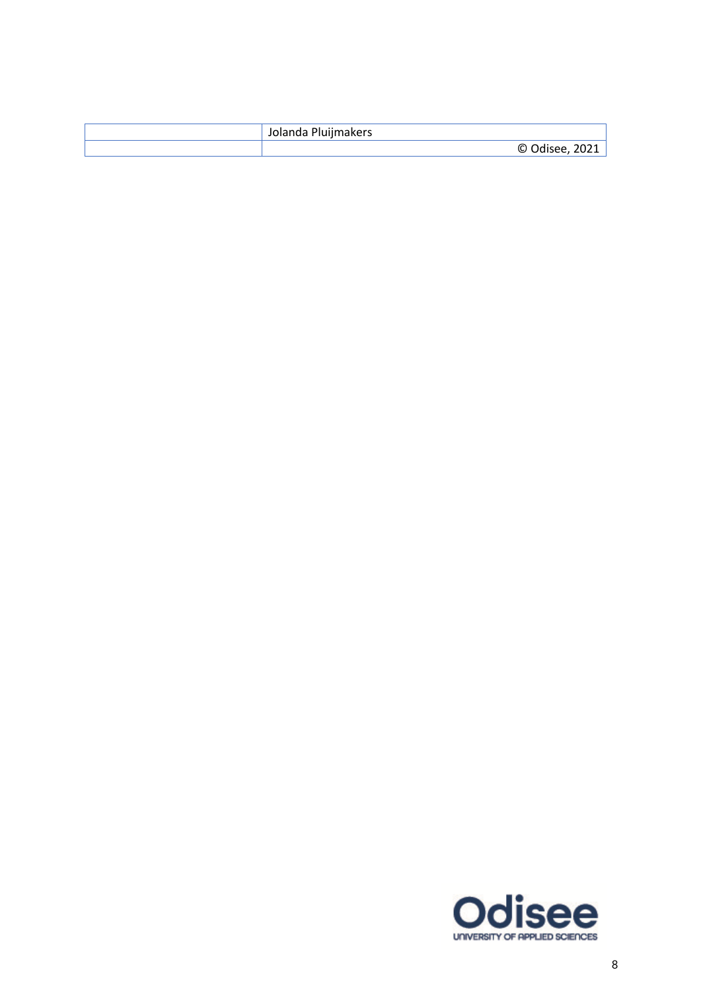| Jolanda Pluijmakers |
|---------------------|
| Odisee, 2021<br>O   |

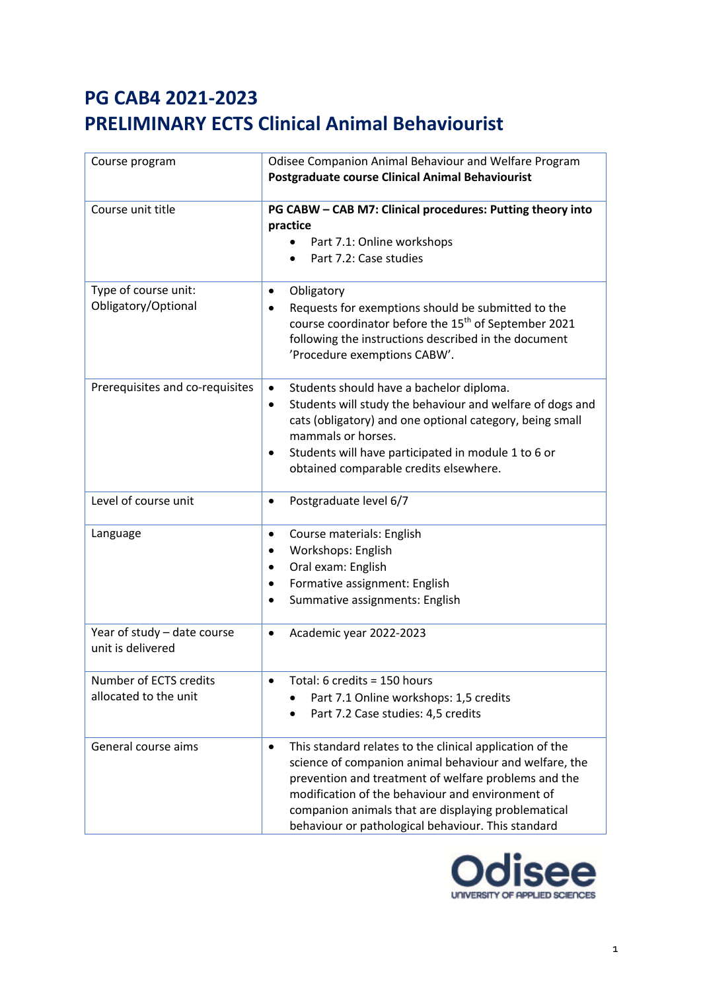| Course program                                   | Odisee Companion Animal Behaviour and Welfare Program<br><b>Postgraduate course Clinical Animal Behaviourist</b>                                                                                                                                                                                                                                         |
|--------------------------------------------------|----------------------------------------------------------------------------------------------------------------------------------------------------------------------------------------------------------------------------------------------------------------------------------------------------------------------------------------------------------|
| Course unit title                                | PG CABW - CAB M7: Clinical procedures: Putting theory into<br>practice<br>Part 7.1: Online workshops<br>Part 7.2: Case studies                                                                                                                                                                                                                           |
| Type of course unit:<br>Obligatory/Optional      | Obligatory<br>$\bullet$<br>Requests for exemptions should be submitted to the<br>٠<br>course coordinator before the 15 <sup>th</sup> of September 2021<br>following the instructions described in the document<br>'Procedure exemptions CABW'.                                                                                                           |
| Prerequisites and co-requisites                  | Students should have a bachelor diploma.<br>Students will study the behaviour and welfare of dogs and<br>٠<br>cats (obligatory) and one optional category, being small<br>mammals or horses.<br>Students will have participated in module 1 to 6 or<br>obtained comparable credits elsewhere.                                                            |
| Level of course unit                             | Postgraduate level 6/7<br>$\bullet$                                                                                                                                                                                                                                                                                                                      |
| Language                                         | Course materials: English<br>$\bullet$<br>Workshops: English<br>Oral exam: English<br>$\bullet$<br>Formative assignment: English<br>٠<br>Summative assignments: English                                                                                                                                                                                  |
| Year of study - date course<br>unit is delivered | Academic year 2022-2023<br>$\bullet$                                                                                                                                                                                                                                                                                                                     |
| Number of ECTS credits<br>allocated to the unit  | Total: 6 credits = 150 hours<br>Part 7.1 Online workshops: 1,5 credits<br>Part 7.2 Case studies: 4,5 credits                                                                                                                                                                                                                                             |
| General course aims                              | This standard relates to the clinical application of the<br>$\bullet$<br>science of companion animal behaviour and welfare, the<br>prevention and treatment of welfare problems and the<br>modification of the behaviour and environment of<br>companion animals that are displaying problematical<br>behaviour or pathological behaviour. This standard |

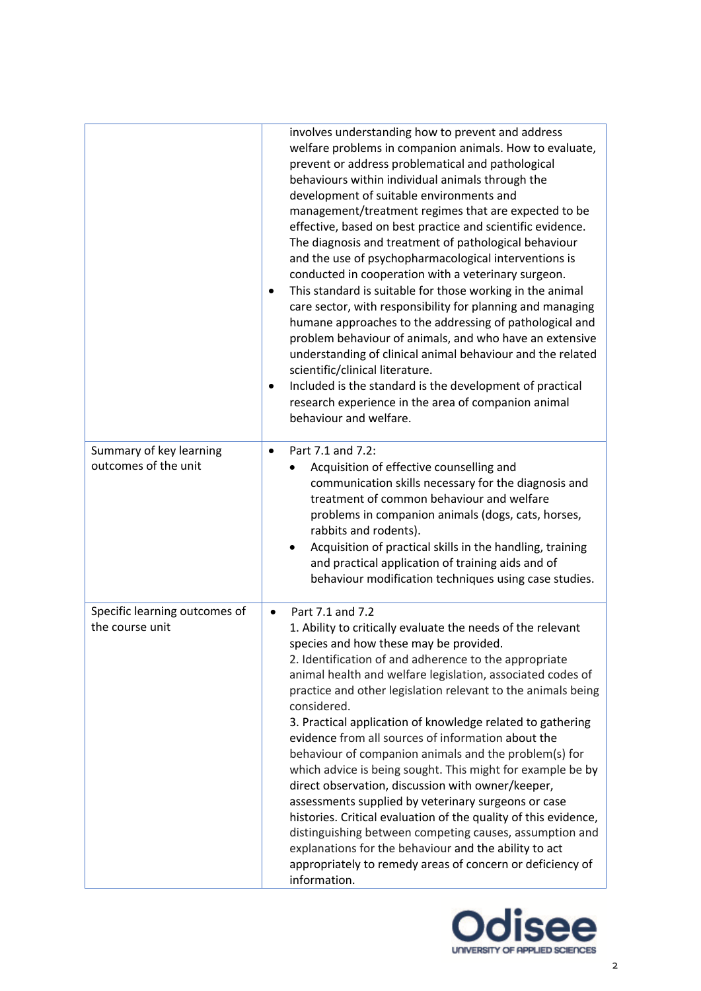|                                                  | involves understanding how to prevent and address<br>welfare problems in companion animals. How to evaluate,<br>prevent or address problematical and pathological<br>behaviours within individual animals through the<br>development of suitable environments and<br>management/treatment regimes that are expected to be<br>effective, based on best practice and scientific evidence.<br>The diagnosis and treatment of pathological behaviour<br>and the use of psychopharmacological interventions is<br>conducted in cooperation with a veterinary surgeon.<br>This standard is suitable for those working in the animal<br>٠<br>care sector, with responsibility for planning and managing<br>humane approaches to the addressing of pathological and<br>problem behaviour of animals, and who have an extensive<br>understanding of clinical animal behaviour and the related<br>scientific/clinical literature.<br>Included is the standard is the development of practical<br>٠<br>research experience in the area of companion animal<br>behaviour and welfare. |
|--------------------------------------------------|---------------------------------------------------------------------------------------------------------------------------------------------------------------------------------------------------------------------------------------------------------------------------------------------------------------------------------------------------------------------------------------------------------------------------------------------------------------------------------------------------------------------------------------------------------------------------------------------------------------------------------------------------------------------------------------------------------------------------------------------------------------------------------------------------------------------------------------------------------------------------------------------------------------------------------------------------------------------------------------------------------------------------------------------------------------------------|
| Summary of key learning<br>outcomes of the unit  | Part 7.1 and 7.2:<br>$\bullet$<br>Acquisition of effective counselling and<br>communication skills necessary for the diagnosis and<br>treatment of common behaviour and welfare<br>problems in companion animals (dogs, cats, horses,<br>rabbits and rodents).<br>Acquisition of practical skills in the handling, training<br>and practical application of training aids and of<br>behaviour modification techniques using case studies.                                                                                                                                                                                                                                                                                                                                                                                                                                                                                                                                                                                                                                 |
| Specific learning outcomes of<br>the course unit | Part 7.1 and 7.2<br>$\bullet$<br>1. Ability to critically evaluate the needs of the relevant<br>species and how these may be provided.<br>2. Identification of and adherence to the appropriate<br>animal health and welfare legislation, associated codes of<br>practice and other legislation relevant to the animals being<br>considered.<br>3. Practical application of knowledge related to gathering<br>evidence from all sources of information about the<br>behaviour of companion animals and the problem(s) for<br>which advice is being sought. This might for example be by<br>direct observation, discussion with owner/keeper,<br>assessments supplied by veterinary surgeons or case<br>histories. Critical evaluation of the quality of this evidence,<br>distinguishing between competing causes, assumption and<br>explanations for the behaviour and the ability to act<br>appropriately to remedy areas of concern or deficiency of<br>information.                                                                                                   |

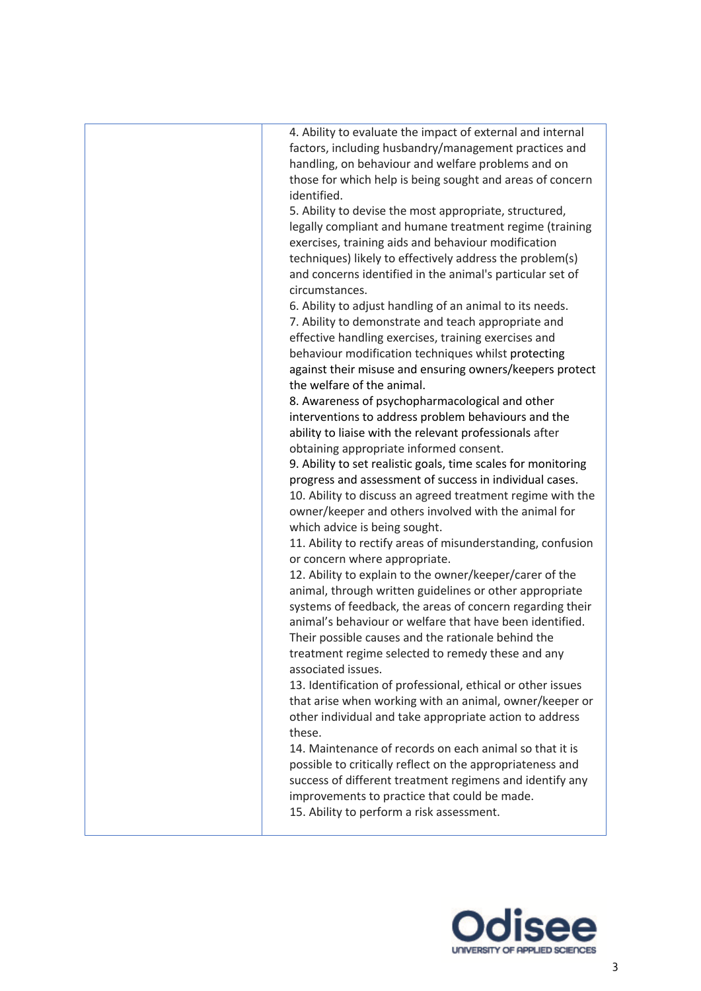| 4. Ability to evaluate the impact of external and internal    |
|---------------------------------------------------------------|
| factors, including husbandry/management practices and         |
| handling, on behaviour and welfare problems and on            |
| those for which help is being sought and areas of concern     |
| identified.                                                   |
| 5. Ability to devise the most appropriate, structured,        |
| legally compliant and humane treatment regime (training       |
| exercises, training aids and behaviour modification           |
| techniques) likely to effectively address the problem(s)      |
| and concerns identified in the animal's particular set of     |
| circumstances.                                                |
|                                                               |
| 6. Ability to adjust handling of an animal to its needs.      |
| 7. Ability to demonstrate and teach appropriate and           |
| effective handling exercises, training exercises and          |
| behaviour modification techniques whilst protecting           |
| against their misuse and ensuring owners/keepers protect      |
| the welfare of the animal.                                    |
| 8. Awareness of psychopharmacological and other               |
| interventions to address problem behaviours and the           |
| ability to liaise with the relevant professionals after       |
| obtaining appropriate informed consent.                       |
| 9. Ability to set realistic goals, time scales for monitoring |
| progress and assessment of success in individual cases.       |
| 10. Ability to discuss an agreed treatment regime with the    |
| owner/keeper and others involved with the animal for          |
| which advice is being sought.                                 |
| 11. Ability to rectify areas of misunderstanding, confusion   |
| or concern where appropriate.                                 |
| 12. Ability to explain to the owner/keeper/carer of the       |
| animal, through written guidelines or other appropriate       |
| systems of feedback, the areas of concern regarding their     |
| animal's behaviour or welfare that have been identified.      |
| Their possible causes and the rationale behind the            |
| treatment regime selected to remedy these and any             |
| associated issues.                                            |
| 13. Identification of professional, ethical or other issues   |
| that arise when working with an animal, owner/keeper or       |
| other individual and take appropriate action to address       |
| these.                                                        |
| 14. Maintenance of records on each animal so that it is       |
| possible to critically reflect on the appropriateness and     |
| success of different treatment regimens and identify any      |
| improvements to practice that could be made.                  |
| 15. Ability to perform a risk assessment.                     |
|                                                               |

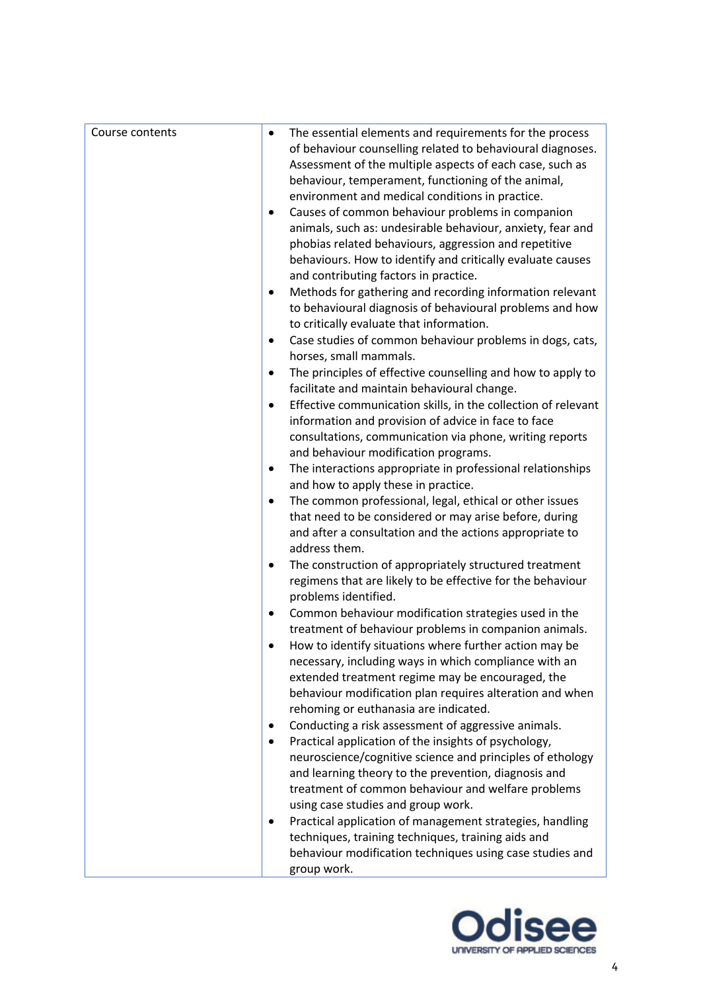| Course contents | The essential elements and requirements for the process<br>$\bullet$     |
|-----------------|--------------------------------------------------------------------------|
|                 | of behaviour counselling related to behavioural diagnoses.               |
|                 | Assessment of the multiple aspects of each case, such as                 |
|                 | behaviour, temperament, functioning of the animal,                       |
|                 | environment and medical conditions in practice.                          |
|                 | Causes of common behaviour problems in companion<br>$\bullet$            |
|                 | animals, such as: undesirable behaviour, anxiety, fear and               |
|                 | phobias related behaviours, aggression and repetitive                    |
|                 | behaviours. How to identify and critically evaluate causes               |
|                 | and contributing factors in practice.                                    |
|                 | Methods for gathering and recording information relevant<br>$\bullet$    |
|                 |                                                                          |
|                 | to behavioural diagnosis of behavioural problems and how                 |
|                 | to critically evaluate that information.                                 |
|                 | Case studies of common behaviour problems in dogs, cats,<br>$\bullet$    |
|                 | horses, small mammals.                                                   |
|                 | The principles of effective counselling and how to apply to<br>$\bullet$ |
|                 | facilitate and maintain behavioural change.                              |
|                 | Effective communication skills, in the collection of relevant            |
|                 | information and provision of advice in face to face                      |
|                 | consultations, communication via phone, writing reports                  |
|                 | and behaviour modification programs.                                     |
|                 | The interactions appropriate in professional relationships<br>٠          |
|                 | and how to apply these in practice.                                      |
|                 | The common professional, legal, ethical or other issues<br>$\bullet$     |
|                 | that need to be considered or may arise before, during                   |
|                 | and after a consultation and the actions appropriate to                  |
|                 | address them.                                                            |
|                 | The construction of appropriately structured treatment<br>$\bullet$      |
|                 | regimens that are likely to be effective for the behaviour               |
|                 | problems identified.                                                     |
|                 | Common behaviour modification strategies used in the<br>٠                |
|                 | treatment of behaviour problems in companion animals.                    |
|                 | How to identify situations where further action may be                   |
|                 | necessary, including ways in which compliance with an                    |
|                 | extended treatment regime may be encouraged, the                         |
|                 | behaviour modification plan requires alteration and when                 |
|                 | rehoming or euthanasia are indicated.                                    |
|                 | Conducting a risk assessment of aggressive animals.<br>$\bullet$         |
|                 | Practical application of the insights of psychology,<br>$\bullet$        |
|                 | neuroscience/cognitive science and principles of ethology                |
|                 | and learning theory to the prevention, diagnosis and                     |
|                 | treatment of common behaviour and welfare problems                       |
|                 | using case studies and group work.                                       |
|                 | Practical application of management strategies, handling                 |
|                 | techniques, training techniques, training aids and                       |
|                 | behaviour modification techniques using case studies and                 |
|                 | group work.                                                              |
|                 |                                                                          |

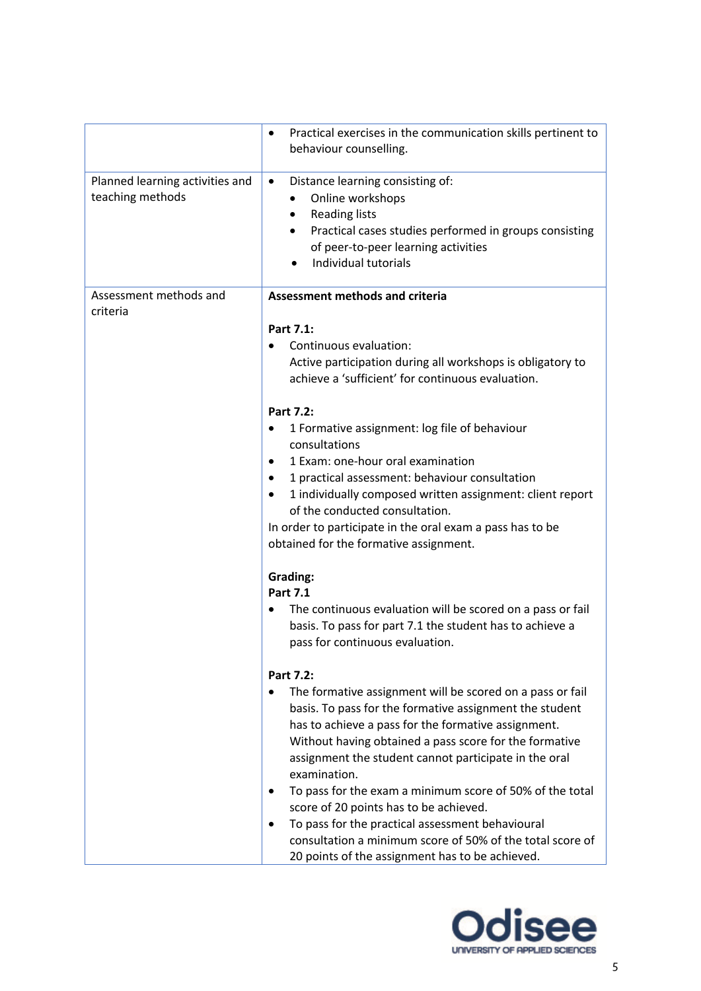|                                                     | Practical exercises in the communication skills pertinent to<br>$\bullet$<br>behaviour counselling.                                                                                                                                                                                                                                                                                                                                                                                                                                                                                                                                                                                                                                                                                                             |
|-----------------------------------------------------|-----------------------------------------------------------------------------------------------------------------------------------------------------------------------------------------------------------------------------------------------------------------------------------------------------------------------------------------------------------------------------------------------------------------------------------------------------------------------------------------------------------------------------------------------------------------------------------------------------------------------------------------------------------------------------------------------------------------------------------------------------------------------------------------------------------------|
| Planned learning activities and<br>teaching methods | Distance learning consisting of:<br>$\bullet$<br>Online workshops<br><b>Reading lists</b><br>Practical cases studies performed in groups consisting<br>of peer-to-peer learning activities<br>Individual tutorials                                                                                                                                                                                                                                                                                                                                                                                                                                                                                                                                                                                              |
| Assessment methods and<br>criteria                  | <b>Assessment methods and criteria</b><br>Part 7.1:<br>Continuous evaluation:<br>Active participation during all workshops is obligatory to<br>achieve a 'sufficient' for continuous evaluation.                                                                                                                                                                                                                                                                                                                                                                                                                                                                                                                                                                                                                |
|                                                     | Part 7.2:<br>1 Formative assignment: log file of behaviour<br>consultations<br>1 Exam: one-hour oral examination<br>1 practical assessment: behaviour consultation<br>٠<br>1 individually composed written assignment: client report<br>$\bullet$<br>of the conducted consultation.<br>In order to participate in the oral exam a pass has to be<br>obtained for the formative assignment.<br><b>Grading:</b>                                                                                                                                                                                                                                                                                                                                                                                                   |
|                                                     | <b>Part 7.1</b><br>The continuous evaluation will be scored on a pass or fail<br>basis. To pass for part 7.1 the student has to achieve a<br>pass for continuous evaluation.<br>Part 7.2:<br>The formative assignment will be scored on a pass or fail<br>$\bullet$<br>basis. To pass for the formative assignment the student<br>has to achieve a pass for the formative assignment.<br>Without having obtained a pass score for the formative<br>assignment the student cannot participate in the oral<br>examination.<br>To pass for the exam a minimum score of 50% of the total<br>score of 20 points has to be achieved.<br>To pass for the practical assessment behavioural<br>$\bullet$<br>consultation a minimum score of 50% of the total score of<br>20 points of the assignment has to be achieved. |

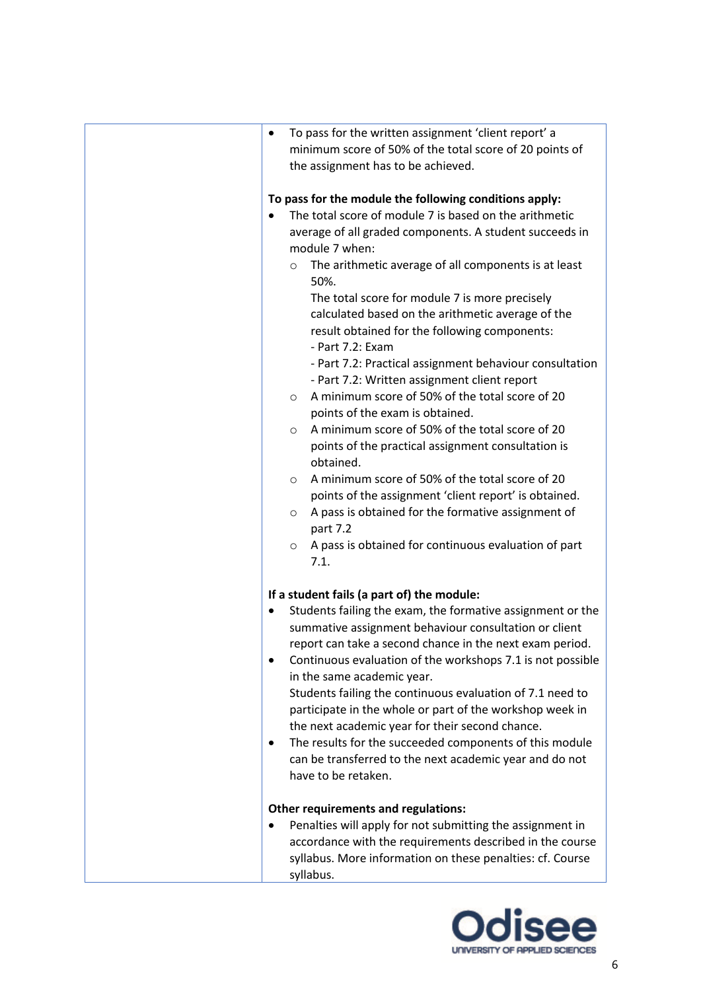| To pass for the written assignment 'client report' a<br>$\bullet$<br>minimum score of 50% of the total score of 20 points of<br>the assignment has to be achieved.<br>To pass for the module the following conditions apply:<br>The total score of module 7 is based on the arithmetic<br>average of all graded components. A student succeeds in<br>module 7 when:<br>The arithmetic average of all components is at least<br>$\circ$<br>50%.<br>The total score for module 7 is more precisely<br>calculated based on the arithmetic average of the<br>result obtained for the following components:<br>- Part 7.2: Exam<br>- Part 7.2: Practical assignment behaviour consultation<br>- Part 7.2: Written assignment client report<br>A minimum score of 50% of the total score of 20<br>$\circ$<br>points of the exam is obtained.<br>A minimum score of 50% of the total score of 20<br>$\circ$<br>points of the practical assignment consultation is<br>obtained.<br>A minimum score of 50% of the total score of 20<br>$\circ$<br>points of the assignment 'client report' is obtained.<br>A pass is obtained for the formative assignment of<br>$\circ$<br>part 7.2<br>A pass is obtained for continuous evaluation of part<br>$\circ$ |
|------------------------------------------------------------------------------------------------------------------------------------------------------------------------------------------------------------------------------------------------------------------------------------------------------------------------------------------------------------------------------------------------------------------------------------------------------------------------------------------------------------------------------------------------------------------------------------------------------------------------------------------------------------------------------------------------------------------------------------------------------------------------------------------------------------------------------------------------------------------------------------------------------------------------------------------------------------------------------------------------------------------------------------------------------------------------------------------------------------------------------------------------------------------------------------------------------------------------------------------------|
| 7.1.<br>If a student fails (a part of) the module:<br>Students failing the exam, the formative assignment or the<br>summative assignment behaviour consultation or client<br>report can take a second chance in the next exam period.<br>Continuous evaluation of the workshops 7.1 is not possible<br>in the same academic year.<br>Students failing the continuous evaluation of 7.1 need to<br>participate in the whole or part of the workshop week in<br>the next academic year for their second chance.<br>The results for the succeeded components of this module<br>٠<br>can be transferred to the next academic year and do not<br>have to be retaken.<br><b>Other requirements and regulations:</b><br>Penalties will apply for not submitting the assignment in<br>$\bullet$<br>accordance with the requirements described in the course<br>syllabus. More information on these penalties: cf. Course<br>syllabus.                                                                                                                                                                                                                                                                                                                  |

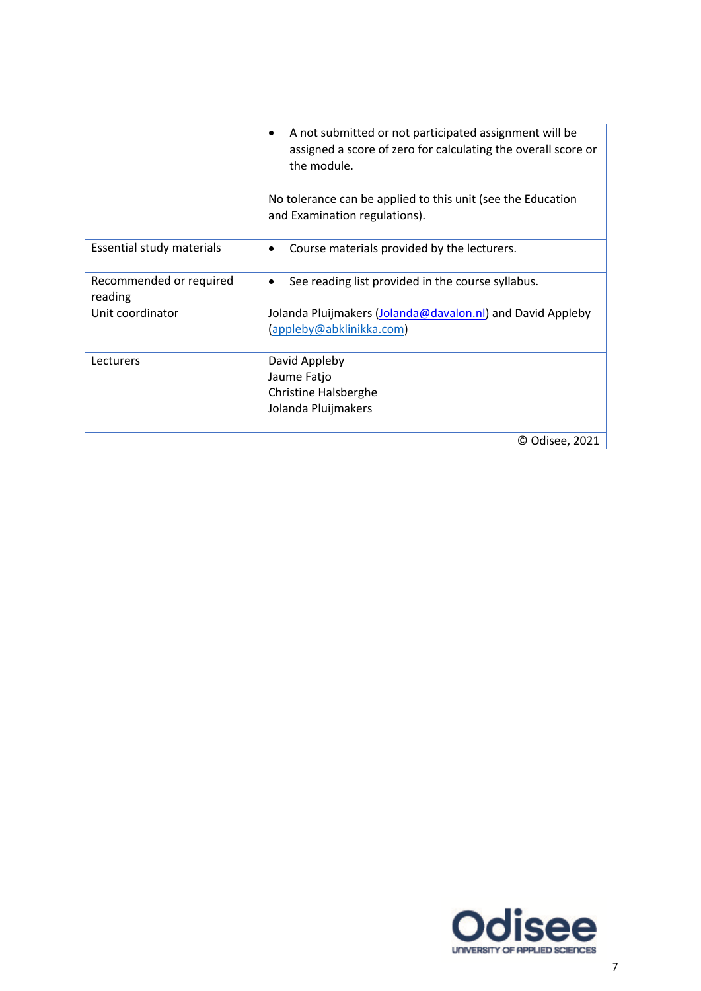|                                    | A not submitted or not participated assignment will be<br>٠<br>assigned a score of zero for calculating the overall score or<br>the module. |
|------------------------------------|---------------------------------------------------------------------------------------------------------------------------------------------|
|                                    | No tolerance can be applied to this unit (see the Education<br>and Examination regulations).                                                |
| Essential study materials          | Course materials provided by the lecturers.                                                                                                 |
| Recommended or required<br>reading | See reading list provided in the course syllabus.<br>٠                                                                                      |
| Unit coordinator                   | Jolanda Pluijmakers (Jolanda@davalon.nl) and David Appleby<br>(appleby@abklinikka.com)                                                      |
| Lecturers                          | David Appleby                                                                                                                               |
|                                    | Jaume Fatjo                                                                                                                                 |
|                                    | <b>Christine Halsberghe</b>                                                                                                                 |
|                                    | Jolanda Pluijmakers                                                                                                                         |
|                                    | © Odisee, 2021                                                                                                                              |

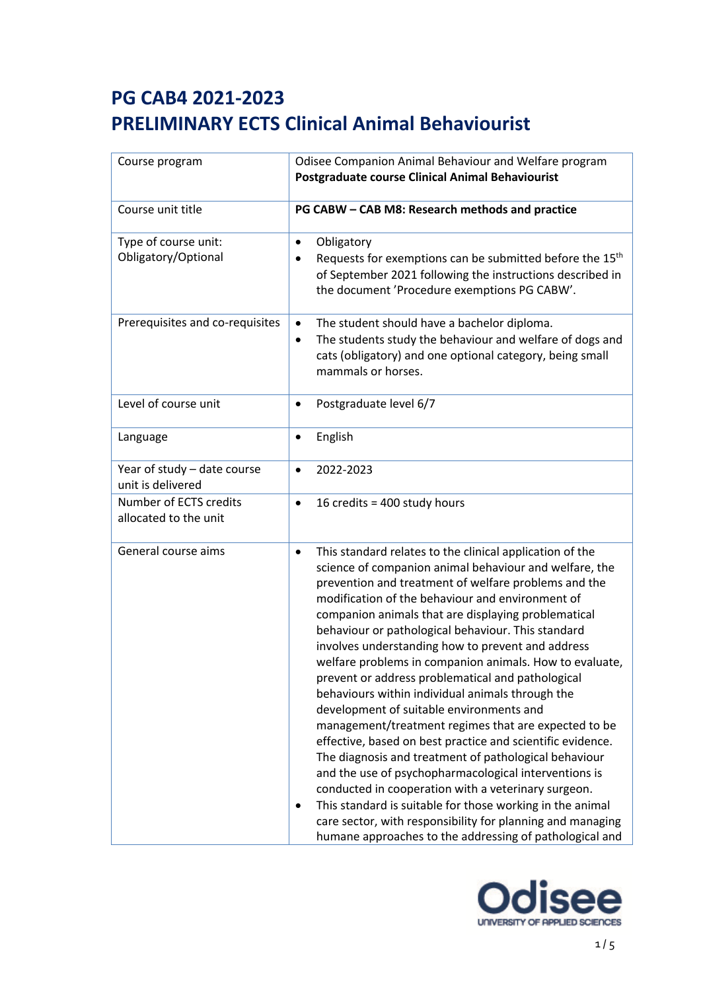| Course program                                   | Odisee Companion Animal Behaviour and Welfare program<br>Postgraduate course Clinical Animal Behaviourist                                                                                                                                                                                                                                                                                                                                                                                                                                                                                                                                                                                                                                                                                                                                                                                                                                                                                                                                                                                                                       |
|--------------------------------------------------|---------------------------------------------------------------------------------------------------------------------------------------------------------------------------------------------------------------------------------------------------------------------------------------------------------------------------------------------------------------------------------------------------------------------------------------------------------------------------------------------------------------------------------------------------------------------------------------------------------------------------------------------------------------------------------------------------------------------------------------------------------------------------------------------------------------------------------------------------------------------------------------------------------------------------------------------------------------------------------------------------------------------------------------------------------------------------------------------------------------------------------|
| Course unit title                                | PG CABW - CAB M8: Research methods and practice                                                                                                                                                                                                                                                                                                                                                                                                                                                                                                                                                                                                                                                                                                                                                                                                                                                                                                                                                                                                                                                                                 |
| Type of course unit:<br>Obligatory/Optional      | Obligatory<br>٠<br>Requests for exemptions can be submitted before the 15 <sup>th</sup><br>of September 2021 following the instructions described in<br>the document 'Procedure exemptions PG CABW'.                                                                                                                                                                                                                                                                                                                                                                                                                                                                                                                                                                                                                                                                                                                                                                                                                                                                                                                            |
| Prerequisites and co-requisites                  | The student should have a bachelor diploma.<br>$\bullet$<br>The students study the behaviour and welfare of dogs and<br>$\bullet$<br>cats (obligatory) and one optional category, being small<br>mammals or horses.                                                                                                                                                                                                                                                                                                                                                                                                                                                                                                                                                                                                                                                                                                                                                                                                                                                                                                             |
| Level of course unit                             | Postgraduate level 6/7<br>$\bullet$                                                                                                                                                                                                                                                                                                                                                                                                                                                                                                                                                                                                                                                                                                                                                                                                                                                                                                                                                                                                                                                                                             |
| Language                                         | English<br>$\bullet$                                                                                                                                                                                                                                                                                                                                                                                                                                                                                                                                                                                                                                                                                                                                                                                                                                                                                                                                                                                                                                                                                                            |
| Year of study - date course<br>unit is delivered | 2022-2023<br>$\bullet$                                                                                                                                                                                                                                                                                                                                                                                                                                                                                                                                                                                                                                                                                                                                                                                                                                                                                                                                                                                                                                                                                                          |
| Number of ECTS credits<br>allocated to the unit  | 16 credits = 400 study hours<br>$\bullet$                                                                                                                                                                                                                                                                                                                                                                                                                                                                                                                                                                                                                                                                                                                                                                                                                                                                                                                                                                                                                                                                                       |
| General course aims                              | This standard relates to the clinical application of the<br>$\bullet$<br>science of companion animal behaviour and welfare, the<br>prevention and treatment of welfare problems and the<br>modification of the behaviour and environment of<br>companion animals that are displaying problematical<br>behaviour or pathological behaviour. This standard<br>involves understanding how to prevent and address<br>welfare problems in companion animals. How to evaluate,<br>prevent or address problematical and pathological<br>behaviours within individual animals through the<br>development of suitable environments and<br>management/treatment regimes that are expected to be<br>effective, based on best practice and scientific evidence.<br>The diagnosis and treatment of pathological behaviour<br>and the use of psychopharmacological interventions is<br>conducted in cooperation with a veterinary surgeon.<br>This standard is suitable for those working in the animal<br>$\bullet$<br>care sector, with responsibility for planning and managing<br>humane approaches to the addressing of pathological and |

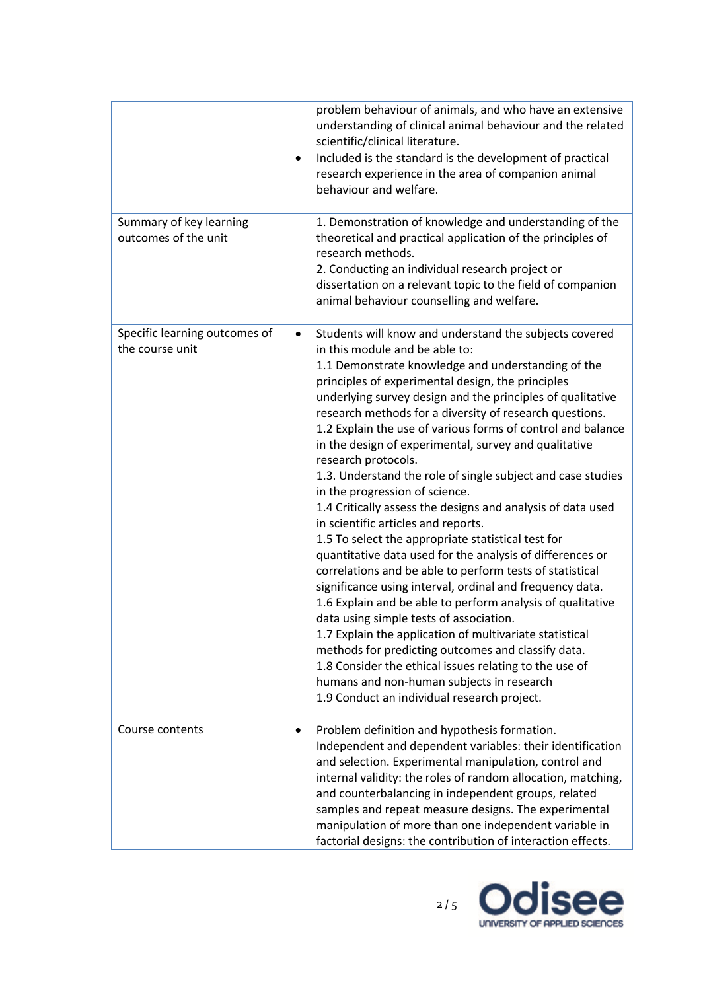|                                                  | problem behaviour of animals, and who have an extensive<br>understanding of clinical animal behaviour and the related<br>scientific/clinical literature.<br>Included is the standard is the development of practical<br>$\bullet$<br>research experience in the area of companion animal<br>behaviour and welfare.                                                                                                                                                                                                                                                                                                                                                                                                                                                                                                                                                                                                                                                                                                                                                                                                                                                                                                                                                                                                         |
|--------------------------------------------------|----------------------------------------------------------------------------------------------------------------------------------------------------------------------------------------------------------------------------------------------------------------------------------------------------------------------------------------------------------------------------------------------------------------------------------------------------------------------------------------------------------------------------------------------------------------------------------------------------------------------------------------------------------------------------------------------------------------------------------------------------------------------------------------------------------------------------------------------------------------------------------------------------------------------------------------------------------------------------------------------------------------------------------------------------------------------------------------------------------------------------------------------------------------------------------------------------------------------------------------------------------------------------------------------------------------------------|
| Summary of key learning<br>outcomes of the unit  | 1. Demonstration of knowledge and understanding of the<br>theoretical and practical application of the principles of<br>research methods.<br>2. Conducting an individual research project or<br>dissertation on a relevant topic to the field of companion<br>animal behaviour counselling and welfare.                                                                                                                                                                                                                                                                                                                                                                                                                                                                                                                                                                                                                                                                                                                                                                                                                                                                                                                                                                                                                    |
| Specific learning outcomes of<br>the course unit | Students will know and understand the subjects covered<br>$\bullet$<br>in this module and be able to:<br>1.1 Demonstrate knowledge and understanding of the<br>principles of experimental design, the principles<br>underlying survey design and the principles of qualitative<br>research methods for a diversity of research questions.<br>1.2 Explain the use of various forms of control and balance<br>in the design of experimental, survey and qualitative<br>research protocols.<br>1.3. Understand the role of single subject and case studies<br>in the progression of science.<br>1.4 Critically assess the designs and analysis of data used<br>in scientific articles and reports.<br>1.5 To select the appropriate statistical test for<br>quantitative data used for the analysis of differences or<br>correlations and be able to perform tests of statistical<br>significance using interval, ordinal and frequency data.<br>1.6 Explain and be able to perform analysis of qualitative<br>data using simple tests of association.<br>1.7 Explain the application of multivariate statistical<br>methods for predicting outcomes and classify data.<br>1.8 Consider the ethical issues relating to the use of<br>humans and non-human subjects in research<br>1.9 Conduct an individual research project. |
| Course contents                                  | Problem definition and hypothesis formation.<br>$\bullet$<br>Independent and dependent variables: their identification<br>and selection. Experimental manipulation, control and<br>internal validity: the roles of random allocation, matching,<br>and counterbalancing in independent groups, related<br>samples and repeat measure designs. The experimental<br>manipulation of more than one independent variable in<br>factorial designs: the contribution of interaction effects.                                                                                                                                                                                                                                                                                                                                                                                                                                                                                                                                                                                                                                                                                                                                                                                                                                     |

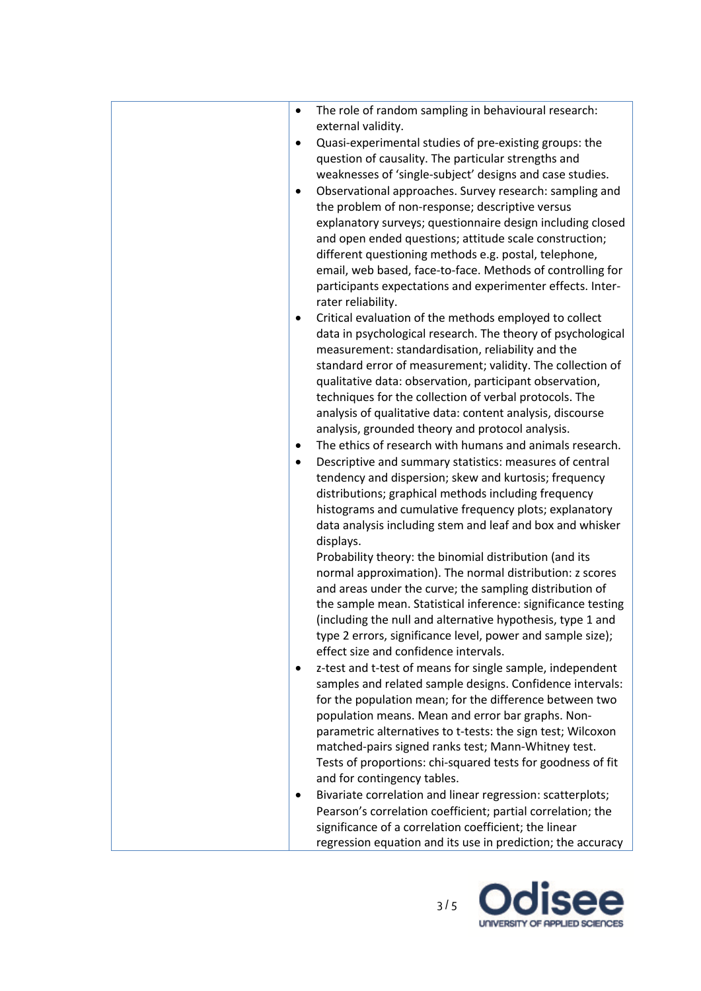| The role of random sampling in behavioural research:<br>$\bullet$<br>external validity.                                                       |
|-----------------------------------------------------------------------------------------------------------------------------------------------|
| Quasi-experimental studies of pre-existing groups: the<br>$\bullet$<br>question of causality. The particular strengths and                    |
| weaknesses of 'single-subject' designs and case studies.                                                                                      |
| Observational approaches. Survey research: sampling and<br>$\bullet$<br>the problem of non-response; descriptive versus                       |
| explanatory surveys; questionnaire design including closed                                                                                    |
| and open ended questions; attitude scale construction;<br>different questioning methods e.g. postal, telephone,                               |
| email, web based, face-to-face. Methods of controlling for                                                                                    |
| participants expectations and experimenter effects. Inter-<br>rater reliability.                                                              |
| Critical evaluation of the methods employed to collect<br>$\bullet$<br>data in psychological research. The theory of psychological            |
| measurement: standardisation, reliability and the                                                                                             |
| standard error of measurement; validity. The collection of<br>qualitative data: observation, participant observation,                         |
| techniques for the collection of verbal protocols. The                                                                                        |
| analysis of qualitative data: content analysis, discourse<br>analysis, grounded theory and protocol analysis.                                 |
| The ethics of research with humans and animals research.<br>$\bullet$<br>Descriptive and summary statistics: measures of central<br>$\bullet$ |
| tendency and dispersion; skew and kurtosis; frequency                                                                                         |
| distributions; graphical methods including frequency<br>histograms and cumulative frequency plots; explanatory                                |
| data analysis including stem and leaf and box and whisker                                                                                     |
| displays.<br>Probability theory: the binomial distribution (and its                                                                           |
| normal approximation). The normal distribution: z scores                                                                                      |
| and areas under the curve; the sampling distribution of<br>the sample mean. Statistical inference: significance testing                       |
| (including the null and alternative hypothesis, type 1 and                                                                                    |
| type 2 errors, significance level, power and sample size);<br>effect size and confidence intervals.                                           |
| z-test and t-test of means for single sample, independent<br>٠                                                                                |
| samples and related sample designs. Confidence intervals:<br>for the population mean; for the difference between two                          |
| population means. Mean and error bar graphs. Non-<br>parametric alternatives to t-tests: the sign test; Wilcoxon                              |
| matched-pairs signed ranks test; Mann-Whitney test.                                                                                           |
| Tests of proportions: chi-squared tests for goodness of fit<br>and for contingency tables.                                                    |
| Bivariate correlation and linear regression: scatterplots;<br>٠                                                                               |
| Pearson's correlation coefficient; partial correlation; the<br>significance of a correlation coefficient; the linear                          |
| regression equation and its use in prediction; the accuracy                                                                                   |

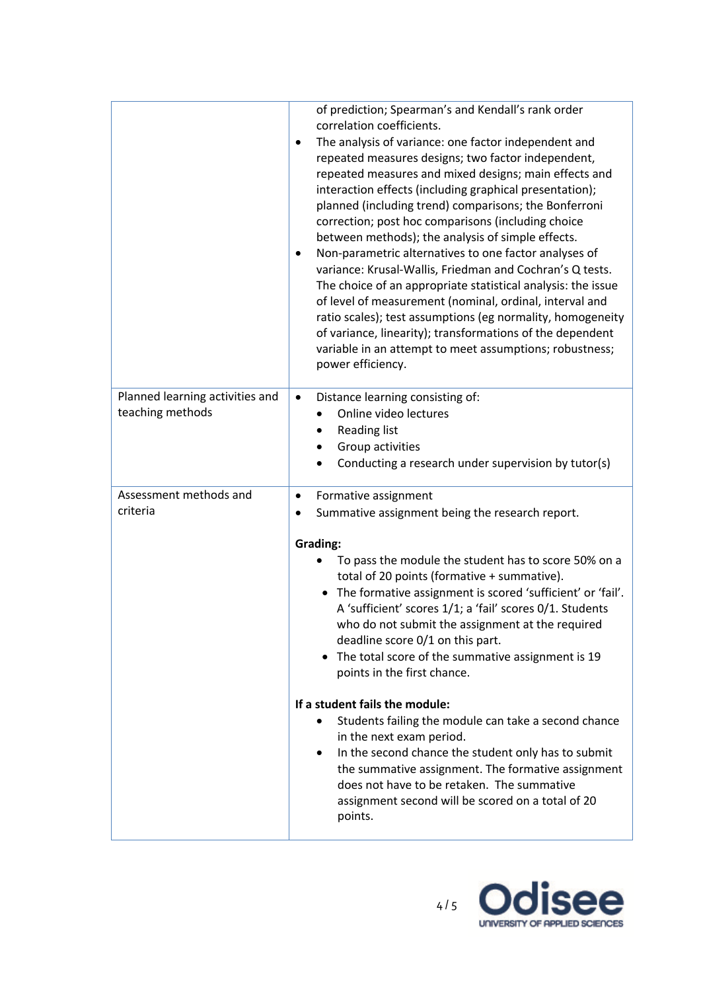|                                                     | of prediction; Spearman's and Kendall's rank order<br>correlation coefficients.<br>The analysis of variance: one factor independent and<br>$\bullet$<br>repeated measures designs; two factor independent,<br>repeated measures and mixed designs; main effects and<br>interaction effects (including graphical presentation);<br>planned (including trend) comparisons; the Bonferroni<br>correction; post hoc comparisons (including choice<br>between methods); the analysis of simple effects.<br>Non-parametric alternatives to one factor analyses of<br>٠<br>variance: Krusal-Wallis, Friedman and Cochran's Q tests.<br>The choice of an appropriate statistical analysis: the issue<br>of level of measurement (nominal, ordinal, interval and<br>ratio scales); test assumptions (eg normality, homogeneity<br>of variance, linearity); transformations of the dependent<br>variable in an attempt to meet assumptions; robustness;<br>power efficiency. |
|-----------------------------------------------------|--------------------------------------------------------------------------------------------------------------------------------------------------------------------------------------------------------------------------------------------------------------------------------------------------------------------------------------------------------------------------------------------------------------------------------------------------------------------------------------------------------------------------------------------------------------------------------------------------------------------------------------------------------------------------------------------------------------------------------------------------------------------------------------------------------------------------------------------------------------------------------------------------------------------------------------------------------------------|
| Planned learning activities and<br>teaching methods | Distance learning consisting of:<br>$\bullet$<br>Online video lectures<br><b>Reading list</b><br>Group activities<br>Conducting a research under supervision by tutor(s)                                                                                                                                                                                                                                                                                                                                                                                                                                                                                                                                                                                                                                                                                                                                                                                           |
| Assessment methods and<br>criteria                  | Formative assignment<br>٠<br>Summative assignment being the research report.<br>Grading:<br>To pass the module the student has to score 50% on a<br>total of 20 points (formative + summative).<br>The formative assignment is scored 'sufficient' or 'fail'.<br>$\bullet$<br>A 'sufficient' scores 1/1; a 'fail' scores 0/1. Students<br>who do not submit the assignment at the required<br>deadline score 0/1 on this part.<br>The total score of the summative assignment is 19<br>points in the first chance.<br>If a student fails the module:<br>Students failing the module can take a second chance                                                                                                                                                                                                                                                                                                                                                       |
|                                                     | in the next exam period.<br>In the second chance the student only has to submit<br>the summative assignment. The formative assignment<br>does not have to be retaken. The summative<br>assignment second will be scored on a total of 20<br>points.                                                                                                                                                                                                                                                                                                                                                                                                                                                                                                                                                                                                                                                                                                                |